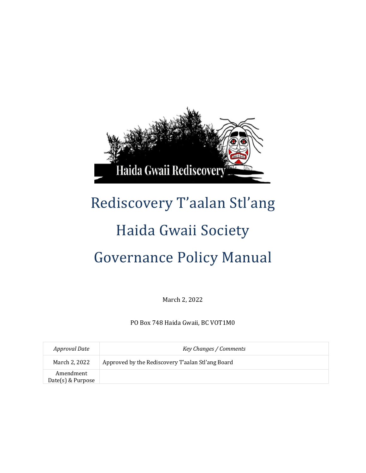

# Rediscovery T'aalan Stl'ang Haida Gwaii Society Governance Policy Manual

March 2, 2022

PO Box 748 Haida Gwaii, BC VOT1M0

| Approval Date                  | <b>Key Changes / Comments</b>                     |  |
|--------------------------------|---------------------------------------------------|--|
| March 2, 2022                  | Approved by the Rediscovery T'aalan Stl'ang Board |  |
| Amendment<br>Date(s) & Purpose |                                                   |  |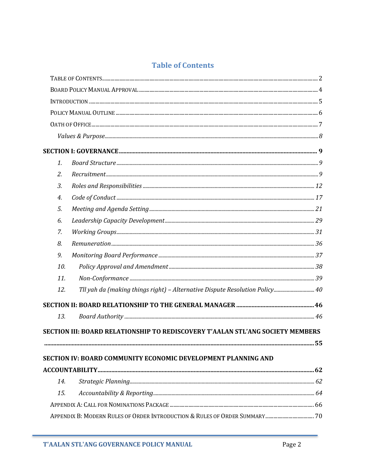## **Table of Contents**

| 1.  |                                                                                |  |
|-----|--------------------------------------------------------------------------------|--|
| 2.  |                                                                                |  |
| 3.  |                                                                                |  |
| 4.  |                                                                                |  |
| 5.  |                                                                                |  |
| 6.  |                                                                                |  |
| 7.  |                                                                                |  |
| 8.  |                                                                                |  |
| 9.  |                                                                                |  |
| 10. |                                                                                |  |
| 11. |                                                                                |  |
| 12. | Tll yah da (making things right) - Alternative Dispute Resolution Policy 40    |  |
|     |                                                                                |  |
| 13. |                                                                                |  |
|     | SECTION III: BOARD RELATIONSHIP TO REDISCOVERY T'AALAN STL'ANG SOCIETY MEMBERS |  |
|     |                                                                                |  |
|     | SECTION IV: BOARD COMMUNITY ECONOMIC DEVELOPMENT PLANNING AND                  |  |
|     |                                                                                |  |
|     |                                                                                |  |
| 14. |                                                                                |  |
| 15. |                                                                                |  |
|     |                                                                                |  |
|     |                                                                                |  |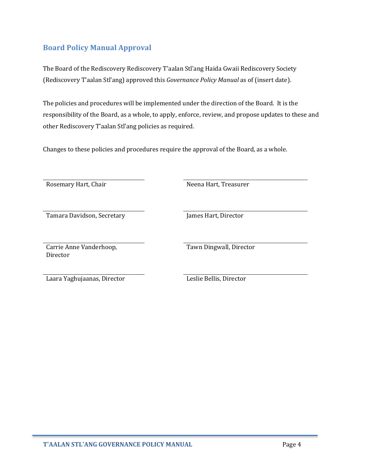## **Board Policy Manual Approval**

The Board of the Rediscovery Rediscovery T'aalan Stl'ang Haida Gwaii Rediscovery Society (Rediscovery T'aalan Stl'ang) approved this *Governance Policy Manual* as of (insert date).

The policies and procedures will be implemented under the direction of the Board. It is the responsibility of the Board, as a whole, to apply, enforce, review, and propose updates to these and other Rediscovery T'aalan Stl'ang policies as required.

Changes to these policies and procedures require the approval of the Board, as a whole.

Rosemary Hart, Chair Neena Hart, Treasurer

Tamara Davidson, Secretary **Fames Hart, Director** 

Carrie Anne Vanderhoop, Director

Tawn Dingwall, Director

Laara Yaghujaanas, Director **Leslie Bellis, Director**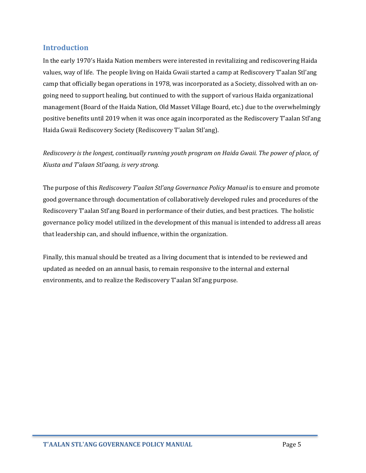## **Introduction**

In the early 1970's Haida Nation members were interested in revitalizing and rediscovering Haida values, way of life. The people living on Haida Gwaii started a camp at Rediscovery T'aalan Stl'ang camp that officially began operations in 1978, was incorporated as a Society, dissolved with an ongoing need to support healing, but continued to with the support of various Haida organizational management (Board of the Haida Nation, Old Masset Village Board, etc.) due to the overwhelmingly positive benefits until 2019 when it was once again incorporated as the Rediscovery T'aalan Stl'ang Haida Gwaii Rediscovery Society (Rediscovery T'aalan Stl'ang).

*Rediscovery* is the longest, continually running youth program on Haida Gwaii. The power of place, of *Kiusta and T'alaan Stl'aang, is very strong.* 

The purpose of this *Rediscovery T'aalan Stl'ang Governance Policy Manual* is to ensure and promote good governance through documentation of collaboratively developed rules and procedures of the Rediscovery T'aalan Stl'ang Board in performance of their duties, and best practices. The holistic governance policy model utilized in the development of this manual is intended to address all areas that leadership can, and should influence, within the organization.

Finally, this manual should be treated as a living document that is intended to be reviewed and updated as needed on an annual basis, to remain responsive to the internal and external environments, and to realize the Rediscovery T'aalan Stl'ang purpose.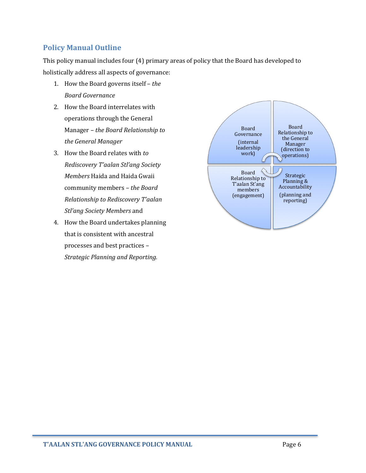## **Policy Manual Outline**

This policy manual includes four (4) primary areas of policy that the Board has developed to holistically address all aspects of governance:

- 1. How the Board governs itself *the Board Governance*
- 2. How the Board interrelates with operations through the General Manager – *the Board Relationship to the General Manager*
- 3. How the Board relates with *to Rediscovery T'aalan Stl'ang Society Members* Haida and Haida Gwaii community members - *the Board Relationship to Rediscovery T'aalan Stl'ang Society Members* and
- 4. How the Board undertakes planning that is consistent with ancestral processes and best practices -*Strategic Planning and Reporting.*

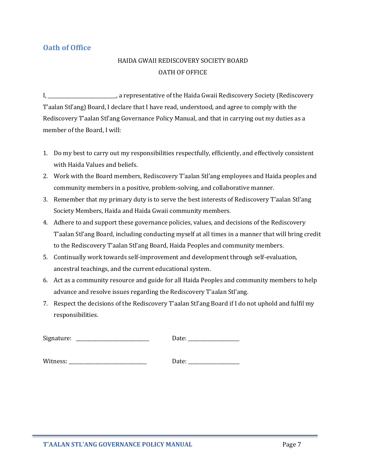## **Oath of Office**

## HAIDA GWAII REDISCOVERY SOCIETY BOARD OATH OF OFFICE

I, \_\_\_\_\_\_\_\_\_\_\_\_\_\_\_\_\_\_\_\_\_\_, a representative of the Haida Gwaii Rediscovery Society (Rediscovery T'aalan Stl'ang) Board, I declare that I have read, understood, and agree to comply with the Rediscovery T'aalan Stl'ang Governance Policy Manual, and that in carrying out my duties as a member of the Board, I will:

- 1. Do my best to carry out my responsibilities respectfully, efficiently, and effectively consistent with Haida Values and beliefs.
- 2. Work with the Board members, Rediscovery T'aalan Stl'ang employees and Haida peoples and community members in a positive, problem-solving, and collaborative manner.
- 3. Remember that my primary duty is to serve the best interests of Rediscovery T'aalan Stl'ang Society Members, Haida and Haida Gwaii community members.
- 4. Adhere to and support these governance policies, values, and decisions of the Rediscovery T'aalan Stl'ang Board, including conducting myself at all times in a manner that will bring credit to the Rediscovery T'aalan Stl'ang Board, Haida Peoples and community members.
- 5. Continually work towards self-improvement and development through self-evaluation, ancestral teachings, and the current educational system.
- 6. Act as a community resource and guide for all Haida Peoples and community members to help advance and resolve issues regarding the Rediscovery T'aalan Stl'ang.
- 7. Respect the decisions of the Rediscovery T'aalan Stl'ang Board if I do not uphold and fulfil my responsibilities.

| Signature: |  |  |
|------------|--|--|

| Wit<br>n<br>. ت ت<br>_____ | . |
|----------------------------|---|
|----------------------------|---|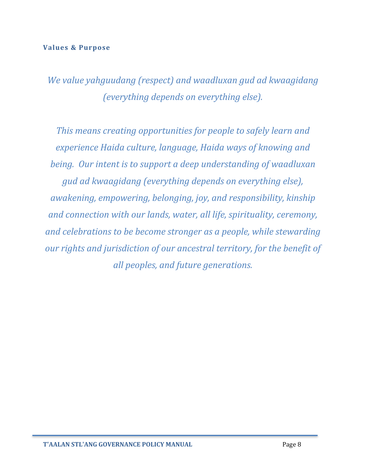*We value yahguudang (respect)* and waadluxan gud ad kwaagidang *(everything depends on everything else).* 

*This* means creating opportunities for people to safely learn and experience Haida culture, language, Haida ways of knowing and *being. Our intent is to support a deep understanding of waadluxan gud* ad kwaagidang (everything depends on everything else), *awakening, empowering, belonging, joy, and responsibility, kinship* and connection with our lands, water, all life, spirituality, ceremony, and celebrations to be become stronger as a people, while stewarding *our rights and jurisdiction of our ancestral territory, for the benefit of all peoples, and future generations.*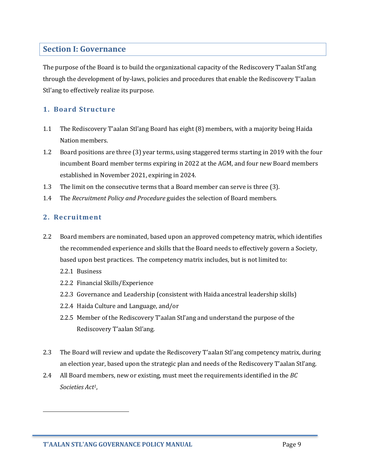## **Section I: Governance**

The purpose of the Board is to build the organizational capacity of the Rediscovery T'aalan Stl'ang through the development of by-laws, policies and procedures that enable the Rediscovery T'aalan Stl'ang to effectively realize its purpose.

## **1. Board Structure**

- 1.1 The Rediscovery T'aalan Stl'ang Board has eight (8) members, with a majority being Haida Nation members.
- 1.2 Board positions are three (3) year terms, using staggered terms starting in 2019 with the four incumbent Board member terms expiring in 2022 at the AGM, and four new Board members established in November 2021, expiring in 2024.
- 1.3 The limit on the consecutive terms that a Board member can serve is three (3).
- 1.4 The *Recruitment Policy and Procedure* guides the selection of Board members.

#### **2. Recruitment**

- 2.2 Board members are nominated, based upon an approved competency matrix, which identifies the recommended experience and skills that the Board needs to effectively govern a Society, based upon best practices. The competency matrix includes, but is not limited to:
	- 2.2.1 Business
	- 2.2.2 Financial Skills/Experience
	- 2.2.3 Governance and Leadership (consistent with Haida ancestral leadership skills)
	- 2.2.4 Haida Culture and Language, and/or
	- 2.2.5 Member of the Rediscovery T'aalan Stl'ang and understand the purpose of the Rediscovery T'aalan Stl'ang.
- 2.3 The Board will review and update the Rediscovery T'aalan Stl'ang competency matrix, during an election year, based upon the strategic plan and needs of the Rediscovery T'aalan Stl'ang.
- 2.4 All Board members, new or existing, must meet the requirements identified in the *BC Societies Act1*,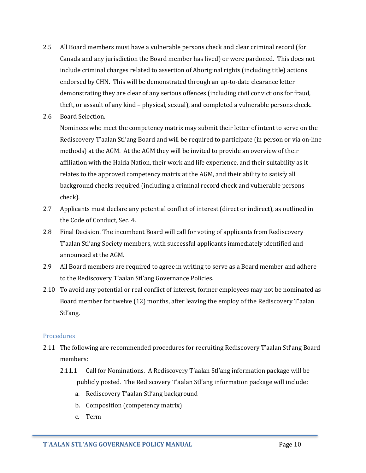- 2.5 All Board members must have a vulnerable persons check and clear criminal record (for Canada and any jurisdiction the Board member has lived) or were pardoned. This does not include criminal charges related to assertion of Aboriginal rights (including title) actions endorsed by CHN. This will be demonstrated through an up-to-date clearance letter demonstrating they are clear of any serious offences (including civil convictions for fraud, theft, or assault of any kind - physical, sexual), and completed a vulnerable persons check.
- 2.6 Board Selection.

Nominees who meet the competency matrix may submit their letter of intent to serve on the Rediscovery T'aalan Stl'ang Board and will be required to participate (in person or via on-line methods) at the AGM. At the AGM they will be invited to provide an overview of their affiliation with the Haida Nation, their work and life experience, and their suitability as it relates to the approved competency matrix at the AGM, and their ability to satisfy all background checks required (including a criminal record check and vulnerable persons check). 

- 2.7 Applicants must declare any potential conflict of interest (direct or indirect), as outlined in the Code of Conduct, Sec. 4.
- 2.8 Final Decision. The incumbent Board will call for voting of applicants from Rediscovery T'aalan Stl'ang Society members, with successful applicants immediately identified and announced at the AGM.
- 2.9 All Board members are required to agree in writing to serve as a Board member and adhere to the Rediscovery T'aalan Stl'ang Governance Policies.
- 2.10 To avoid any potential or real conflict of interest, former employees may not be nominated as Board member for twelve (12) months, after leaving the employ of the Rediscovery T'aalan Stl'ang.

#### **Procedures**

- 2.11 The following are recommended procedures for recruiting Rediscovery T'aalan Stl'ang Board members:
	- 2.11.1 Call for Nominations. A Rediscovery T'aalan Stl'ang information package will be publicly posted. The Rediscovery T'aalan Stl'ang information package will include:
		- a. Rediscovery T'aalan Stl'ang background
		- b. Composition (competency matrix)
		- c. Term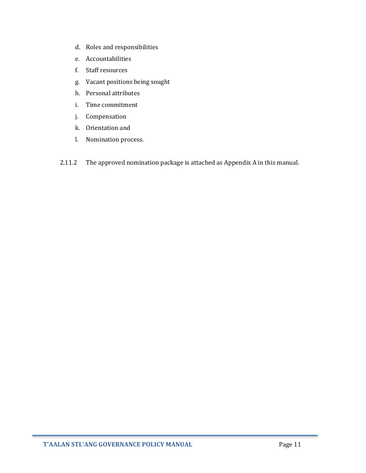- d. Roles and responsibilities
- e. Accountabilities
- f. Staff resources
- g. Vacant positions being sought
- h. Personal attributes
- i. Time commitment
- j. Compensation
- k. Orientation and
- l. Nomination process.
- 2.11.2 The approved nomination package is attached as Appendix A in this manual.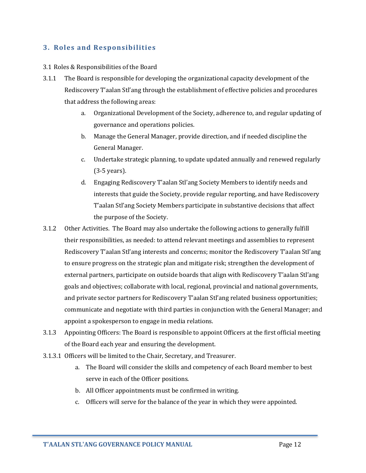#### **3. Roles and Responsibilities**

- 3.1 Roles & Responsibilities of the Board
- 3.1.1 The Board is responsible for developing the organizational capacity development of the Rediscovery T'aalan Stl'ang through the establishment of effective policies and procedures that address the following areas:
	- a. Organizational Development of the Society, adherence to, and regular updating of governance and operations policies.
	- b. Manage the General Manager, provide direction, and if needed discipline the General Manager.
	- c. Undertake strategic planning, to update updated annually and renewed regularly (3-5 years).
	- d. Engaging Rediscovery T'aalan Stl'ang Society Members to identify needs and interests that guide the Society, provide regular reporting, and have Rediscovery T'aalan Stl'ang Society Members participate in substantive decisions that affect the purpose of the Society.
- 3.1.2 Other Activities. The Board may also undertake the following actions to generally fulfill their responsibilities, as needed: to attend relevant meetings and assemblies to represent Rediscovery T'aalan Stl'ang interests and concerns; monitor the Rediscovery T'aalan Stl'ang to ensure progress on the strategic plan and mitigate risk; strengthen the development of external partners, participate on outside boards that align with Rediscovery T'aalan Stl'ang goals and objectives; collaborate with local, regional, provincial and national governments, and private sector partners for Rediscovery T'aalan Stl'ang related business opportunities; communicate and negotiate with third parties in conjunction with the General Manager; and appoint a spokesperson to engage in media relations.
- 3.1.3 Appointing Officers: The Board is responsible to appoint Officers at the first official meeting of the Board each year and ensuring the development.
- 3.1.3.1 Officers will be limited to the Chair, Secretary, and Treasurer.
	- a. The Board will consider the skills and competency of each Board member to best serve in each of the Officer positions.
	- b. All Officer appointments must be confirmed in writing.
	- c. Officers will serve for the balance of the year in which they were appointed.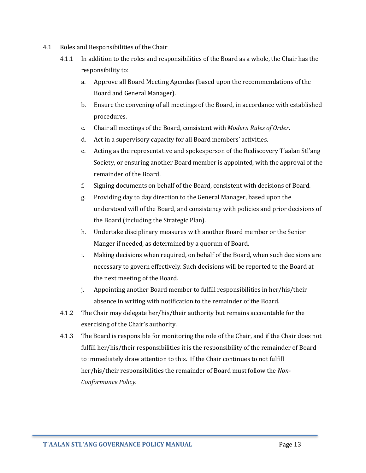- 4.1 Roles and Responsibilities of the Chair
	- 4.1.1 In addition to the roles and responsibilities of the Board as a whole, the Chair has the responsibility to:
		- a. Approve all Board Meeting Agendas (based upon the recommendations of the Board and General Manager).
		- b. Ensure the convening of all meetings of the Board, in accordance with established procedures.
		- c. Chair all meetings of the Board, consistent with *Modern Rules of Order*.
		- d. Act in a supervisory capacity for all Board members' activities.
		- e. Acting as the representative and spokesperson of the Rediscovery T'aalan Stl'ang Society, or ensuring another Board member is appointed, with the approval of the remainder of the Board.
		- f. Signing documents on behalf of the Board, consistent with decisions of Board.
		- g. Providing day to day direction to the General Manager, based upon the understood will of the Board, and consistency with policies and prior decisions of the Board (including the Strategic Plan).
		- h. Undertake disciplinary measures with another Board member or the Senior Manger if needed, as determined by a quorum of Board.
		- i. Making decisions when required, on behalf of the Board, when such decisions are necessary to govern effectively. Such decisions will be reported to the Board at the next meeting of the Board.
		- j. Appointing another Board member to fulfill responsibilities in her/his/their absence in writing with notification to the remainder of the Board.
	- 4.1.2 The Chair may delegate her/his/their authority but remains accountable for the exercising of the Chair's authority.
	- 4.1.3 The Board is responsible for monitoring the role of the Chair, and if the Chair does not fulfill her/his/their responsibilities it is the responsibility of the remainder of Board to immediately draw attention to this. If the Chair continues to not fulfill her/his/their responsibilities the remainder of Board must follow the *Non-Conformance Policy.*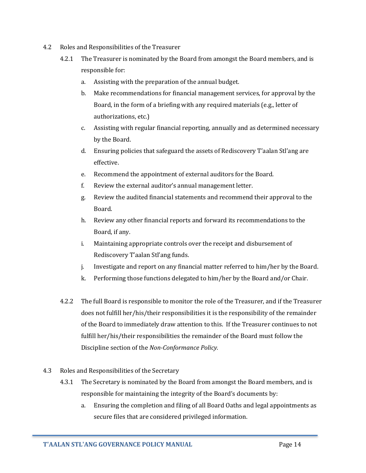- 4.2 Roles and Responsibilities of the Treasurer
	- 4.2.1 The Treasurer is nominated by the Board from amongst the Board members, and is responsible for:
		- a. Assisting with the preparation of the annual budget.
		- b. Make recommendations for financial management services, for approval by the Board, in the form of a briefing with any required materials (e.g., letter of authorizations, etc.)
		- c. Assisting with regular financial reporting, annually and as determined necessary by the Board.
		- d. Ensuring policies that safeguard the assets of Rediscovery T'aalan Stl'ang are effective.
		- e. Recommend the appointment of external auditors for the Board.
		- f. Review the external auditor's annual management letter.
		- g. Review the audited financial statements and recommend their approval to the Board.
		- h. Review any other financial reports and forward its recommendations to the Board, if any.
		- i. Maintaining appropriate controls over the receipt and disbursement of Rediscovery T'aalan Stl'ang funds.
		- j. Investigate and report on any financial matter referred to him/her by the Board.
		- k. Performing those functions delegated to him/her by the Board and/or Chair.
	- 4.2.2 The full Board is responsible to monitor the role of the Treasurer, and if the Treasurer does not fulfill her/his/their responsibilities it is the responsibility of the remainder of the Board to immediately draw attention to this. If the Treasurer continues to not fulfill her/his/their responsibilities the remainder of the Board must follow the Discipline section of the *Non-Conformance Policy.*
- 4.3 Roles and Responsibilities of the Secretary
	- 4.3.1 The Secretary is nominated by the Board from amongst the Board members, and is responsible for maintaining the integrity of the Board's documents by:
		- a. Ensuring the completion and filing of all Board Oaths and legal appointments as secure files that are considered privileged information.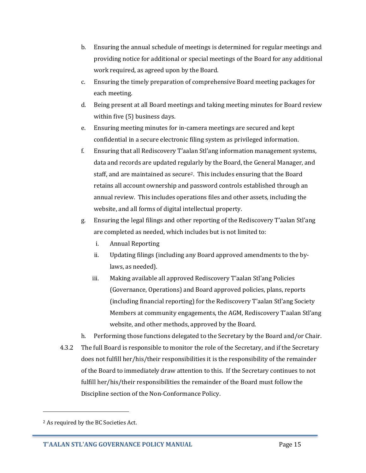- b. Ensuring the annual schedule of meetings is determined for regular meetings and providing notice for additional or special meetings of the Board for any additional work required, as agreed upon by the Board.
- c. Ensuring the timely preparation of comprehensive Board meeting packages for each meeting.
- d. Being present at all Board meetings and taking meeting minutes for Board review within five  $(5)$  business days.
- e. Ensuring meeting minutes for in-camera meetings are secured and kept confidential in a secure electronic filing system as privileged information.
- f. Ensuring that all Rediscovery T'aalan Stl'ang information management systems, data and records are updated regularly by the Board, the General Manager, and staff, and are maintained as secure<sup>2</sup>. This includes ensuring that the Board retains all account ownership and password controls established through an annual review. This includes operations files and other assets, including the website, and all forms of digital intellectual property.
- g. Ensuring the legal filings and other reporting of the Rediscovery T'aalan Stl'ang are completed as needed, which includes but is not limited to:
	- i. Annual Reporting
	- ii. Updating filings (including any Board approved amendments to the bylaws, as needed).
	- iii. Making available all approved Rediscovery T'aalan Stl'ang Policies (Governance, Operations) and Board approved policies, plans, reports (including financial reporting) for the Rediscovery T'aalan Stl'ang Society Members at community engagements, the AGM, Rediscovery T'aalan Stl'ang website, and other methods, approved by the Board.
- h. Performing those functions delegated to the Secretary by the Board and/or Chair.
- 4.3.2 The full Board is responsible to monitor the role of the Secretary, and if the Secretary does not fulfill her/his/their responsibilities it is the responsibility of the remainder of the Board to immediately draw attention to this. If the Secretary continues to not fulfill her/his/their responsibilities the remainder of the Board must follow the Discipline section of the Non-Conformance Policy.

<sup>&</sup>lt;sup>2</sup> As required by the BC Societies Act.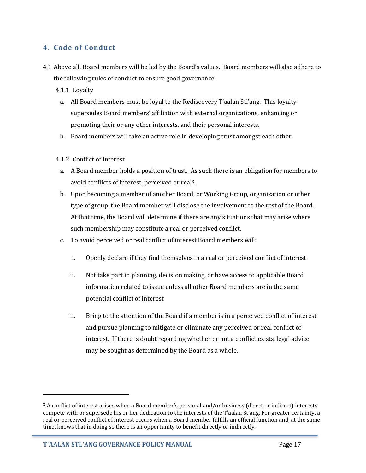## **4. Code of Conduct**

- 4.1 Above all, Board members will be led by the Board's values. Board members will also adhere to the following rules of conduct to ensure good governance.
	- 4.1.1 Loyalty
		- a. All Board members must be loyal to the Rediscovery T'aalan Stl'ang. This loyalty supersedes Board members' affiliation with external organizations, enhancing or promoting their or any other interests, and their personal interests.
		- b. Board members will take an active role in developing trust amongst each other.
	- 4.1.2 Conflict of Interest
		- a. A Board member holds a position of trust. As such there is an obligation for members to avoid conflicts of interest, perceived or real<sup>3</sup>.
		- b. Upon becoming a member of another Board, or Working Group, organization or other type of group, the Board member will disclose the involvement to the rest of the Board. At that time, the Board will determine if there are any situations that may arise where such membership may constitute a real or perceived conflict.
		- c. To avoid perceived or real conflict of interest Board members will:
			- i. Openly declare if they find themselves in a real or perceived conflict of interest
			- ii. Not take part in planning, decision making, or have access to applicable Board information related to issue unless all other Board members are in the same potential conflict of interest
			- iii. Bring to the attention of the Board if a member is in a perceived conflict of interest and pursue planning to mitigate or eliminate any perceived or real conflict of interest. If there is doubt regarding whether or not a conflict exists, legal advice may be sought as determined by the Board as a whole.

<sup>&</sup>lt;sup>3</sup> A conflict of interest arises when a Board member's personal and/or business (direct or indirect) interests compete with or supersede his or her dedication to the interests of the T'aalan St'ang. For greater certainty, a real or perceived conflict of interest occurs when a Board member fulfills an official function and, at the same time, knows that in doing so there is an opportunity to benefit directly or indirectly.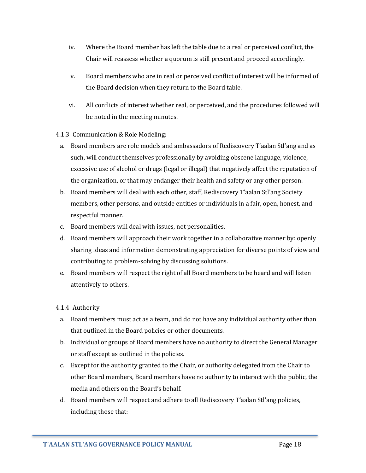- iv. Where the Board member has left the table due to a real or perceived conflict, the Chair will reassess whether a quorum is still present and proceed accordingly.
- v. Board members who are in real or perceived conflict of interest will be informed of the Board decision when they return to the Board table.
- vi. All conflicts of interest whether real, or perceived, and the procedures followed will be noted in the meeting minutes.

#### 4.1.3 Communication & Role Modeling:

- a. Board members are role models and ambassadors of Rediscovery T'aalan Stl'ang and as such, will conduct themselves professionally by avoiding obscene language, violence, excessive use of alcohol or drugs (legal or illegal) that negatively affect the reputation of the organization, or that may endanger their health and safety or any other person.
- b. Board members will deal with each other, staff, Rediscovery T'aalan Stl'ang Society members, other persons, and outside entities or individuals in a fair, open, honest, and respectful manner.
- c. Board members will deal with issues, not personalities.
- d. Board members will approach their work together in a collaborative manner by: openly sharing ideas and information demonstrating appreciation for diverse points of view and contributing to problem-solving by discussing solutions.
- e. Board members will respect the right of all Board members to be heard and will listen attentively to others.

#### 4.1.4 Authority

- a. Board members must act as a team, and do not have any individual authority other than that outlined in the Board policies or other documents.
- b. Individual or groups of Board members have no authority to direct the General Manager or staff except as outlined in the policies.
- c. Except for the authority granted to the Chair, or authority delegated from the Chair to other Board members, Board members have no authority to interact with the public, the media and others on the Board's behalf.
- d. Board members will respect and adhere to all Rediscovery T'aalan Stl'ang policies, including those that: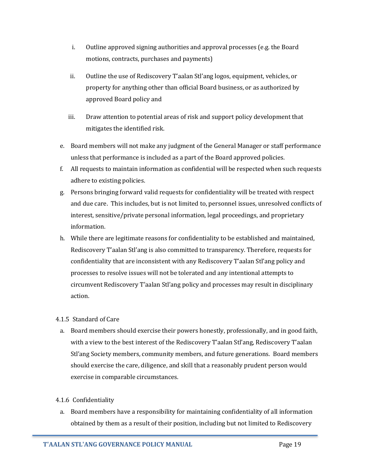- i. Outline approved signing authorities and approval processes (e.g. the Board motions, contracts, purchases and payments)
- ii. Outline the use of Rediscovery T'aalan Stl'ang logos, equipment, vehicles, or property for anything other than official Board business, or as authorized by approved Board policy and
- iii. Draw attention to potential areas of risk and support policy development that mitigates the identified risk.
- e. Board members will not make any judgment of the General Manager or staff performance unless that performance is included as a part of the Board approved policies.
- f. All requests to maintain information as confidential will be respected when such requests adhere to existing policies.
- g. Persons bringing forward valid requests for confidentiality will be treated with respect and due care. This includes, but is not limited to, personnel issues, unresolved conflicts of interest, sensitive/private personal information, legal proceedings, and proprietary information.
- h. While there are legitimate reasons for confidentiality to be established and maintained, Rediscovery T'aalan Stl'ang is also committed to transparency. Therefore, requests for confidentiality that are inconsistent with any Rediscovery T'aalan Stl'ang policy and processes to resolve issues will not be tolerated and any intentional attempts to circumvent Rediscovery T'aalan Stl'ang policy and processes may result in disciplinary action.

#### 4.1.5 Standard of Care

a. Board members should exercise their powers honestly, professionally, and in good faith, with a view to the best interest of the Rediscovery T'aalan Stl'ang, Rediscovery T'aalan Stl'ang Society members, community members, and future generations. Board members should exercise the care, diligence, and skill that a reasonably prudent person would exercise in comparable circumstances.

#### 4.1.6 Confidentiality

a. Board members have a responsibility for maintaining confidentiality of all information obtained by them as a result of their position, including but not limited to Rediscovery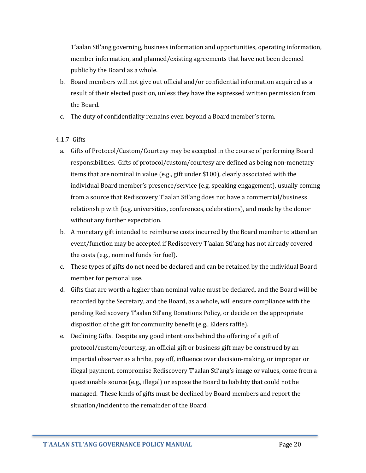T'aalan Stl'ang governing, business information and opportunities, operating information, member information, and planned/existing agreements that have not been deemed public by the Board as a whole.

- b. Board members will not give out official and/or confidential information acquired as a result of their elected position, unless they have the expressed written permission from the Board.
- c. The duty of confidentiality remains even beyond a Board member's term.

#### 4.1.7 Gifts

- a. Gifts of Protocol/Custom/Courtesy may be accepted in the course of performing Board responsibilities. Gifts of protocol/custom/courtesy are defined as being non-monetary items that are nominal in value (e.g., gift under \$100), clearly associated with the individual Board member's presence/service (e.g. speaking engagement), usually coming from a source that Rediscovery T'aalan Stl'ang does not have a commercial/business relationship with (e.g. universities, conferences, celebrations), and made by the donor without any further expectation.
- b. A monetary gift intended to reimburse costs incurred by the Board member to attend an event/function may be accepted if Rediscovery T'aalan Stl'ang has not already covered the costs (e.g., nominal funds for fuel).
- c. These types of gifts do not need be declared and can be retained by the individual Board member for personal use.
- d. Gifts that are worth a higher than nominal value must be declared, and the Board will be recorded by the Secretary, and the Board, as a whole, will ensure compliance with the pending Rediscovery T'aalan Stl'ang Donations Policy, or decide on the appropriate disposition of the gift for community benefit (e.g., Elders raffle).
- e. Declining Gifts. Despite any good intentions behind the offering of a gift of protocol/custom/courtesy, an official gift or business gift may be construed by an impartial observer as a bribe, pay off, influence over decision-making, or improper or illegal payment, compromise Rediscovery T'aalan Stl'ang's image or values, come from a questionable source  $(e.g.,$  illegal) or expose the Board to liability that could not be managed. These kinds of gifts must be declined by Board members and report the situation/incident to the remainder of the Board.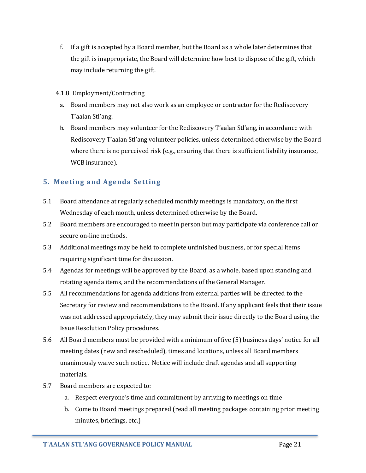- f. If a gift is accepted by a Board member, but the Board as a whole later determines that the gift is inappropriate, the Board will determine how best to dispose of the gift, which may include returning the gift.
- 4.1.8 Employment/Contracting
- a. Board members may not also work as an employee or contractor for the Rediscovery T'aalan Stl'ang.
- b. Board members may volunteer for the Rediscovery T'aalan Stl'ang, in accordance with Rediscovery T'aalan Stl'ang volunteer policies, unless determined otherwise by the Board where there is no perceived risk (e.g., ensuring that there is sufficient liability insurance, WCB insurance).

## **5. Meeting and Agenda Setting**

- 5.1 Board attendance at regularly scheduled monthly meetings is mandatory, on the first Wednesday of each month, unless determined otherwise by the Board.
- 5.2 Board members are encouraged to meet in person but may participate via conference call or secure on-line methods.
- 5.3 Additional meetings may be held to complete unfinished business, or for special items requiring significant time for discussion.
- 5.4 Agendas for meetings will be approved by the Board, as a whole, based upon standing and rotating agenda items, and the recommendations of the General Manager.
- 5.5 All recommendations for agenda additions from external parties will be directed to the Secretary for review and recommendations to the Board. If any applicant feels that their issue was not addressed appropriately, they may submit their issue directly to the Board using the Issue Resolution Policy procedures.
- 5.6 All Board members must be provided with a minimum of five (5) business days' notice for all meeting dates (new and rescheduled), times and locations, unless all Board members unanimously waive such notice. Notice will include draft agendas and all supporting materials.
- 5.7 Board members are expected to:
	- a. Respect everyone's time and commitment by arriving to meetings on time
	- b. Come to Board meetings prepared (read all meeting packages containing prior meeting minutes, briefings, etc.)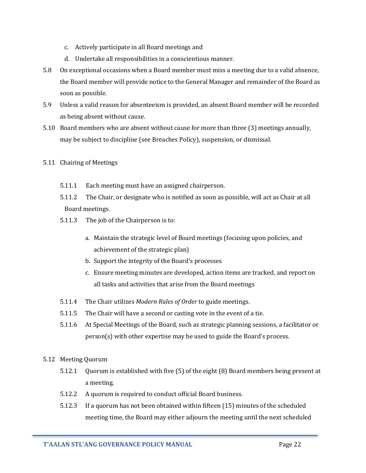- c. Actively participate in all Board meetings and
- d. Undertake all responsibilities in a conscientious manner.
- 5.8 On exceptional occasions when a Board member must miss a meeting due to a valid absence, the Board member will provide notice to the General Manager and remainder of the Board as soon as possible.
- 5.9 Unless a valid reason for absenteeism is provided, an absent Board member will be recorded as being absent without cause.
- 5.10 Board members who are absent without cause for more than three (3) meetings annually, may be subject to discipline (see Breaches Policy), suspension, or dismissal.
- 5.11 Chairing of Meetings
	- 5.11.1 Each meeting must have an assigned chairperson.
	- 5.11.2 The Chair, or designate who is notified as soon as possible, will act as Chair at all Board meetings.
	- 5.11.3 The job of the Chairperson is to:
		- a. Maintain the strategic level of Board meetings (focusing upon policies, and achievement of the strategic plan)
		- b. Support the integrity of the Board's processes
		- c. Ensure meeting minutes are developed, action items are tracked, and report on all tasks and activities that arise from the Board meetings
	- 5.11.4 The Chair utilizes *Modern Rules of Order* to guide meetings.
	- 5.11.5 The Chair will have a second or casting vote in the event of a tie.
	- 5.11.6 At Special Meetings of the Board, such as strategic planning sessions, a facilitator or  $person(s)$  with other expertise may be used to guide the Board's process.
- 5.12 Meeting Quorum
	- 5.12.1 Quorum is established with five  $(5)$  of the eight  $(8)$  Board members being present at a meeting.
	- 5.12.2 A quorum is required to conduct official Board business.
	- 5.12.3 If a quorum has not been obtained within fifteen (15) minutes of the scheduled meeting time, the Board may either adjourn the meeting until the next scheduled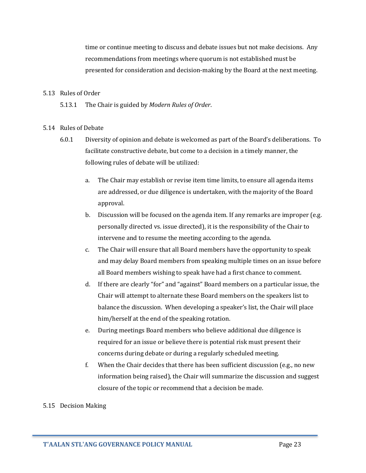time or continue meeting to discuss and debate issues but not make decisions. Any recommendations from meetings where quorum is not established must be presented for consideration and decision-making by the Board at the next meeting.

#### 5.13 Rules of Order

5.13.1 The Chair is guided by *Modern Rules of Order*.

#### 5.14 Rules of Debate

- 6.0.1 Diversity of opinion and debate is welcomed as part of the Board's deliberations. To facilitate constructive debate, but come to a decision in a timely manner, the following rules of debate will be utilized:
	- a. The Chair may establish or revise item time limits, to ensure all agenda items are addressed, or due diligence is undertaken, with the majority of the Board approval.
	- b. Discussion will be focused on the agenda item. If any remarks are improper (e.g. personally directed vs. issue directed), it is the responsibility of the Chair to intervene and to resume the meeting according to the agenda.
	- c. The Chair will ensure that all Board members have the opportunity to speak and may delay Board members from speaking multiple times on an issue before all Board members wishing to speak have had a first chance to comment.
	- d. If there are clearly "for" and "against" Board members on a particular issue, the Chair will attempt to alternate these Board members on the speakers list to balance the discussion. When developing a speaker's list, the Chair will place him/herself at the end of the speaking rotation.
	- e. During meetings Board members who believe additional due diligence is required for an issue or believe there is potential risk must present their concerns during debate or during a regularly scheduled meeting.
	- f. When the Chair decides that there has been sufficient discussion (e.g., no new information being raised), the Chair will summarize the discussion and suggest closure of the topic or recommend that a decision be made.

#### 5.15 Decision Making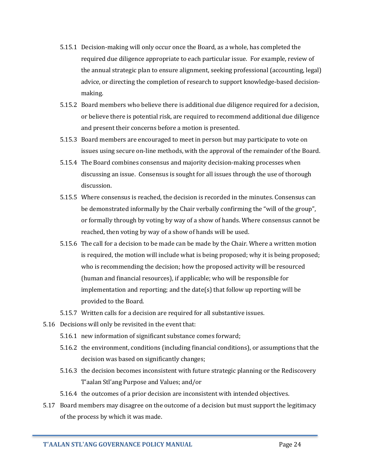- 5.15.1 Decision-making will only occur once the Board, as a whole, has completed the required due diligence appropriate to each particular issue. For example, review of the annual strategic plan to ensure alignment, seeking professional (accounting, legal) advice, or directing the completion of research to support knowledge-based decisionmaking.
- 5.15.2 Board members who believe there is additional due diligence required for a decision, or believe there is potential risk, are required to recommend additional due diligence and present their concerns before a motion is presented.
- 5.15.3 Board members are encouraged to meet in person but may participate to vote on issues using secure on-line methods, with the approval of the remainder of the Board.
- 5.15.4 The Board combines consensus and majority decision-making processes when discussing an issue. Consensus is sought for all issues through the use of thorough discussion.
- 5.15.5 Where consensus is reached, the decision is recorded in the minutes. Consensus can be demonstrated informally by the Chair verbally confirming the "will of the group", or formally through by voting by way of a show of hands. Where consensus cannot be reached, then voting by way of a show of hands will be used.
- 5.15.6 The call for a decision to be made can be made by the Chair. Where a written motion is required, the motion will include what is being proposed; why it is being proposed; who is recommending the decision; how the proposed activity will be resourced (human and financial resources), if applicable; who will be responsible for implementation and reporting; and the date(s) that follow up reporting will be provided to the Board.
- 5.15.7 Written calls for a decision are required for all substantive issues.
- 5.16 Decisions will only be revisited in the event that:
	- 5.16.1 new information of significant substance comes forward;
	- 5.16.2 the environment, conditions (including financial conditions), or assumptions that the decision was based on significantly changes;
	- 5.16.3 the decision becomes inconsistent with future strategic planning or the Rediscovery T'aalan Stl'ang Purpose and Values; and/or
	- 5.16.4 the outcomes of a prior decision are inconsistent with intended objectives.
- 5.17 Board members may disagree on the outcome of a decision but must support the legitimacy of the process by which it was made.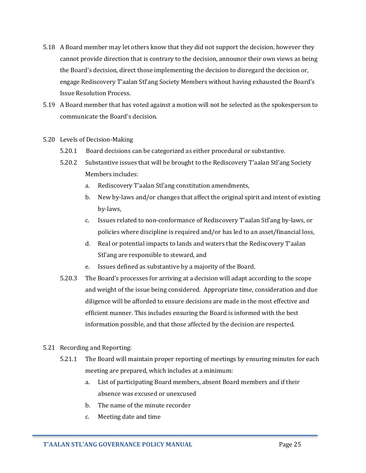- 5.18 A Board member may let others know that they did not support the decision, however they cannot provide direction that is contrary to the decision, announce their own views as being the Board's decision, direct those implementing the decision to disregard the decision or, engage Rediscovery T'aalan Stl'ang Society Members without having exhausted the Board's Issue Resolution Process.
- 5.19 A Board member that has voted against a motion will not be selected as the spokesperson to communicate the Board's decision.

#### 5.20 Levels of Decision-Making

- 5.20.1 Board decisions can be categorized as either procedural or substantive.
- 5.20.2 Substantive issues that will be brought to the Rediscovery T'aalan Stl'ang Society Members includes:
	- a. Rediscovery T'aalan Stl'ang constitution amendments,
	- b. New by-laws and/or changes that affect the original spirit and intent of existing by-laws,
	- c. Issues related to non-conformance of Rediscovery T'aalan Stl'ang by-laws, or policies where discipline is required and/or has led to an asset/financial loss,
	- d. Real or potential impacts to lands and waters that the Rediscovery T'aalan Stl'ang are responsible to steward, and
	- e. Issues defined as substantive by a majority of the Board.
- 5.20.3 The Board's processes for arriving at a decision will adapt according to the scope and weight of the issue being considered. Appropriate time, consideration and due diligence will be afforded to ensure decisions are made in the most effective and efficient manner. This includes ensuring the Board is informed with the best information possible, and that those affected by the decision are respected.

#### 5.21 Recording and Reporting:

- 5.21.1 The Board will maintain proper reporting of meetings by ensuring minutes for each meeting are prepared, which includes at a minimum:
	- a. List of participating Board members, absent Board members and if their absence was excused or unexcused
	- b. The name of the minute recorder
	- c. Meeting date and time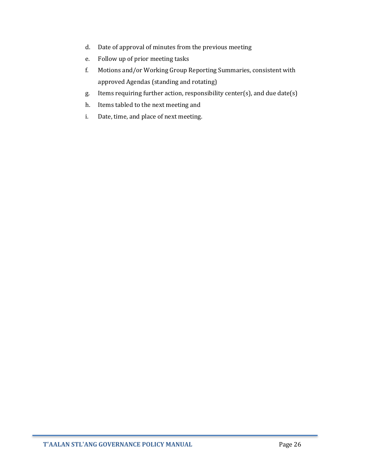- d. Date of approval of minutes from the previous meeting
- e. Follow up of prior meeting tasks
- f. Motions and/or Working Group Reporting Summaries, consistent with approved Agendas (standing and rotating)
- g. Items requiring further action, responsibility center(s), and due date(s)
- h. Items tabled to the next meeting and
- i. Date, time, and place of next meeting.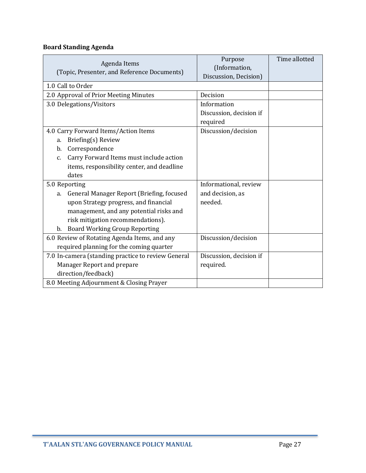## **Board Standing Agenda**

| Agenda Items<br>(Topic, Presenter, and Reference Documents) | Purpose<br>(Information,<br>Discussion, Decision) | Time allotted |
|-------------------------------------------------------------|---------------------------------------------------|---------------|
| 1.0 Call to Order                                           |                                                   |               |
| 2.0 Approval of Prior Meeting Minutes                       | Decision                                          |               |
| 3.0 Delegations/Visitors                                    | Information                                       |               |
|                                                             | Discussion, decision if<br>required               |               |
| 4.0 Carry Forward Items/Action Items                        | Discussion/decision                               |               |
| Briefing(s) Review<br>a.                                    |                                                   |               |
| Correspondence<br>b.                                        |                                                   |               |
| Carry Forward Items must include action<br>$C_{\star}$      |                                                   |               |
| items, responsibility center, and deadline                  |                                                   |               |
| dates                                                       |                                                   |               |
| 5.0 Reporting                                               | Informational, review                             |               |
| General Manager Report (Briefing, focused<br>a.             | and decision, as                                  |               |
| upon Strategy progress, and financial                       | needed.                                           |               |
| management, and any potential risks and                     |                                                   |               |
| risk mitigation recommendations).                           |                                                   |               |
| b. Board Working Group Reporting                            |                                                   |               |
| 6.0 Review of Rotating Agenda Items, and any                | Discussion/decision                               |               |
| required planning for the coming quarter                    |                                                   |               |
| 7.0 In-camera (standing practice to review General          | Discussion, decision if                           |               |
| Manager Report and prepare                                  | required.                                         |               |
| direction/feedback)                                         |                                                   |               |
| 8.0 Meeting Adjournment & Closing Prayer                    |                                                   |               |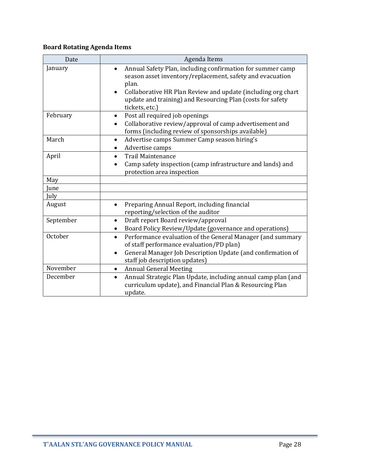## **Board Rotating Agenda Items**

| Date      | Agenda Items                                                                                                                                                                                                                                                                                               |  |  |
|-----------|------------------------------------------------------------------------------------------------------------------------------------------------------------------------------------------------------------------------------------------------------------------------------------------------------------|--|--|
| January   | Annual Safety Plan, including confirmation for summer camp<br>$\bullet$<br>season asset inventory/replacement, safety and evacuation<br>plan.<br>Collaborative HR Plan Review and update (including org chart<br>$\bullet$<br>update and training) and Resourcing Plan (costs for safety<br>tickets, etc.) |  |  |
| February  | Post all required job openings<br>Collaborative review/approval of camp advertisement and<br>$\bullet$<br>forms (including review of sponsorships available)                                                                                                                                               |  |  |
| March     | Advertise camps Summer Camp season hiring's<br>$\bullet$<br>Advertise camps                                                                                                                                                                                                                                |  |  |
| April     | <b>Trail Maintenance</b><br>Camp safety inspection (camp infrastructure and lands) and<br>protection area inspection                                                                                                                                                                                       |  |  |
| May       |                                                                                                                                                                                                                                                                                                            |  |  |
| June      |                                                                                                                                                                                                                                                                                                            |  |  |
| July      |                                                                                                                                                                                                                                                                                                            |  |  |
| August    | Preparing Annual Report, including financial<br>$\bullet$<br>reporting/selection of the auditor                                                                                                                                                                                                            |  |  |
| September | Draft report Board review/approval<br>$\bullet$<br>Board Policy Review/Update (governance and operations)                                                                                                                                                                                                  |  |  |
| October   | Performance evaluation of the General Manager (and summary<br>$\bullet$<br>of staff performance evaluation/PD plan)<br>General Manager Job Description Update (and confirmation of<br>$\bullet$<br>staff job description updates)                                                                          |  |  |
| November  | <b>Annual General Meeting</b><br>$\bullet$                                                                                                                                                                                                                                                                 |  |  |
| December  | Annual Strategic Plan Update, including annual camp plan (and<br>$\bullet$<br>curriculum update), and Financial Plan & Resourcing Plan<br>update.                                                                                                                                                          |  |  |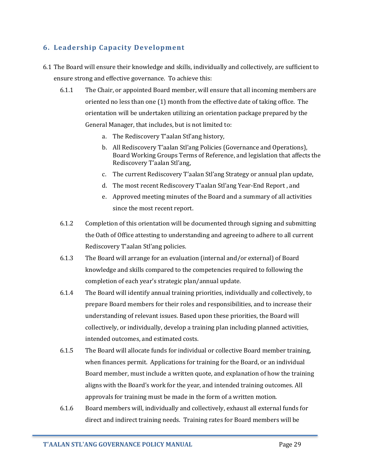## **6. Leadership Capacity Development**

- 6.1 The Board will ensure their knowledge and skills, individually and collectively, are sufficient to ensure strong and effective governance. To achieve this:
	- 6.1.1 The Chair, or appointed Board member, will ensure that all incoming members are oriented no less than one (1) month from the effective date of taking office. The orientation will be undertaken utilizing an orientation package prepared by the General Manager, that includes, but is not limited to:
		- a. The Rediscovery T'aalan Stl'ang history,
		- b. All Rediscovery T'aalan Stl'ang Policies (Governance and Operations), Board Working Groups Terms of Reference, and legislation that affects the Rediscovery T'aalan Stl'ang,
		- c. The current Rediscovery T'aalan Stl'ang Strategy or annual plan update,
		- d. The most recent Rediscovery T'aalan Stl'ang Year-End Report, and
		- e. Approved meeting minutes of the Board and a summary of all activities since the most recent report.
	- 6.1.2 Completion of this orientation will be documented through signing and submitting the Oath of Office attesting to understanding and agreeing to adhere to all current Rediscovery T'aalan Stl'ang policies.
	- 6.1.3 The Board will arrange for an evaluation (internal and/or external) of Board knowledge and skills compared to the competencies required to following the completion of each year's strategic plan/annual update.
	- 6.1.4 The Board will identify annual training priorities, individually and collectively, to prepare Board members for their roles and responsibilities, and to increase their understanding of relevant issues. Based upon these priorities, the Board will collectively, or individually, develop a training plan including planned activities, intended outcomes, and estimated costs.
	- 6.1.5 The Board will allocate funds for individual or collective Board member training, when finances permit. Applications for training for the Board, or an individual Board member, must include a written quote, and explanation of how the training aligns with the Board's work for the year, and intended training outcomes. All approvals for training must be made in the form of a written motion.
	- 6.1.6 Board members will, individually and collectively, exhaust all external funds for direct and indirect training needs. Training rates for Board members will be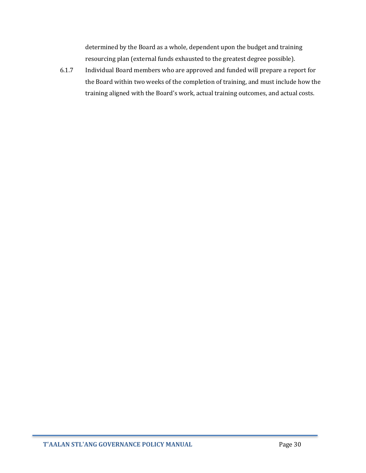determined by the Board as a whole, dependent upon the budget and training resourcing plan (external funds exhausted to the greatest degree possible).

6.1.7 Individual Board members who are approved and funded will prepare a report for the Board within two weeks of the completion of training, and must include how the training aligned with the Board's work, actual training outcomes, and actual costs.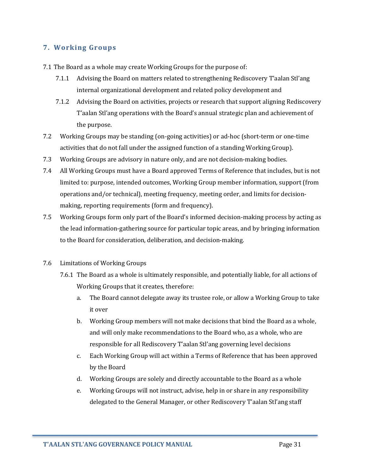## **7. Working Groups**

- 7.1 The Board as a whole may create Working Groups for the purpose of:
	- 7.1.1 Advising the Board on matters related to strengthening Rediscovery T'aalan Stl'ang internal organizational development and related policy development and
	- 7.1.2 Advising the Board on activities, projects or research that support aligning Rediscovery T'aalan Stl'ang operations with the Board's annual strategic plan and achievement of the purpose.
- 7.2 Working Groups may be standing (on-going activities) or ad-hoc (short-term or one-time activities that do not fall under the assigned function of a standing Working Group).
- 7.3 Working Groups are advisory in nature only, and are not decision-making bodies.
- 7.4 All Working Groups must have a Board approved Terms of Reference that includes, but is not limited to: purpose, intended outcomes, Working Group member information, support (from operations and/or technical), meeting frequency, meeting order, and limits for decisionmaking, reporting requirements (form and frequency).
- 7.5 Working Groups form only part of the Board's informed decision-making process by acting as the lead information-gathering source for particular topic areas, and by bringing information to the Board for consideration, deliberation, and decision-making.
- 7.6 Limitations of Working Groups
	- 7.6.1 The Board as a whole is ultimately responsible, and potentially liable, for all actions of Working Groups that it creates, therefore:
		- a. The Board cannot delegate away its trustee role, or allow a Working Group to take it over
		- b. Working Group members will not make decisions that bind the Board as a whole, and will only make recommendations to the Board who, as a whole, who are responsible for all Rediscovery T'aalan Stl'ang governing level decisions
		- c. Each Working Group will act within a Terms of Reference that has been approved by the Board
		- d. Working Groups are solely and directly accountable to the Board as a whole
		- e. Working Groups will not instruct, advise, help in or share in any responsibility delegated to the General Manager, or other Rediscovery T'aalan Stl'ang staff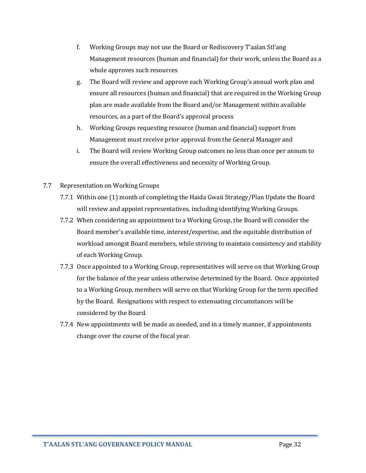- f. Working Groups may not use the Board or Rediscovery T'aalan Stl'ang Management resources (human and financial) for their work, unless the Board as a whole approves such resources
- g. The Board will review and approve each Working Group's annual work plan and ensure all resources (human and financial) that are required in the Working Group plan are made available from the Board and/or Management within available resources, as a part of the Board's approval process
- h. Working Groups requesting resource (human and financial) support from Management must receive prior approval from the General Manager and
- i. The Board will review Working Group outcomes no less than once per annum to ensure the overall effectiveness and necessity of Working Group.
- 7.7 Representation on Working Groups
	- 7.7.1 Within one (1) month of completing the Haida Gwaii Strategy/Plan Update the Board will review and appoint representatives, including identifying Working Groups.
	- 7.7.2 When considering an appointment to a Working Group, the Board will consider the Board member's available time, interest/expertise, and the equitable distribution of workload amongst Board members, while striving to maintain consistency and stability of each Working Group.
	- 7.7.3 Once appointed to a Working Group, representatives will serve on that Working Group for the balance of the year unless otherwise determined by the Board. Once appointed to a Working Group, members will serve on that Working Group for the term specified by the Board. Resignations with respect to extenuating circumstances will be considered by the Board.
	- 7.7.4 New appointments will be made as needed, and in a timely manner, if appointments change over the course of the fiscal year.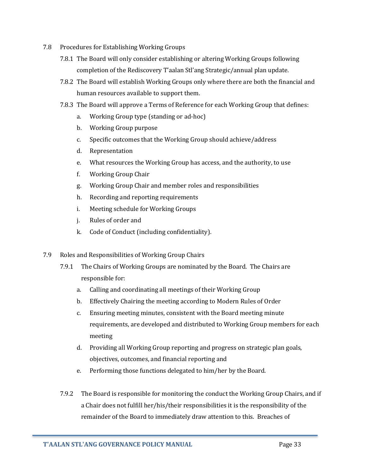- 7.8 Procedures for Establishing Working Groups
	- 7.8.1 The Board will only consider establishing or altering Working Groups following completion of the Rediscovery T'aalan Stl'ang Strategic/annual plan update.
	- 7.8.2 The Board will establish Working Groups only where there are both the financial and human resources available to support them.
	- 7.8.3 The Board will approve a Terms of Reference for each Working Group that defines:
		- a. Working Group type (standing or ad-hoc)
		- b. Working Group purpose
		- c. Specific outcomes that the Working Group should achieve/address
		- d. Representation
		- e. What resources the Working Group has access, and the authority, to use
		- f. Working Group Chair
		- g. Working Group Chair and member roles and responsibilities
		- h. Recording and reporting requirements
		- i. Meeting schedule for Working Groups
		- j. Rules of order and
		- k. Code of Conduct (including confidentiality).
- 7.9 Roles and Responsibilities of Working Group Chairs
	- 7.9.1 The Chairs of Working Groups are nominated by the Board. The Chairs are responsible for:
		- a. Calling and coordinating all meetings of their Working Group
		- b. Effectively Chairing the meeting according to Modern Rules of Order
		- c. Ensuring meeting minutes, consistent with the Board meeting minute requirements, are developed and distributed to Working Group members for each meeting
		- d. Providing all Working Group reporting and progress on strategic plan goals, objectives, outcomes, and financial reporting and
		- e. Performing those functions delegated to him/her by the Board.
	- 7.9.2 The Board is responsible for monitoring the conduct the Working Group Chairs, and if a Chair does not fulfill her/his/their responsibilities it is the responsibility of the remainder of the Board to immediately draw attention to this. Breaches of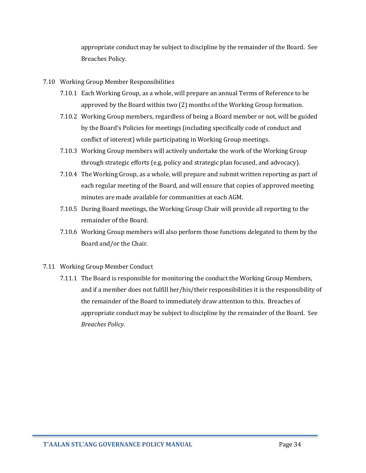appropriate conduct may be subject to discipline by the remainder of the Board. See Breaches Policy. 

- 7.10 Working Group Member Responsibilities
	- 7.10.1 Each Working Group, as a whole, will prepare an annual Terms of Reference to be approved by the Board within two (2) months of the Working Group formation.
	- 7.10.2 Working Group members, regardless of being a Board member or not, will be guided by the Board's Policies for meetings (including specifically code of conduct and conflict of interest) while participating in Working Group meetings.
	- 7.10.3 Working Group members will actively undertake the work of the Working Group through strategic efforts (e.g. policy and strategic plan focused, and advocacy).
	- 7.10.4 The Working Group, as a whole, will prepare and submit written reporting as part of each regular meeting of the Board, and will ensure that copies of approved meeting minutes are made available for communities at each AGM.
	- 7.10.5 During Board meetings, the Working Group Chair will provide all reporting to the remainder of the Board.
	- 7.10.6 Working Group members will also perform those functions delegated to them by the Board and/or the Chair.
- 7.11 Working Group Member Conduct
	- 7.11.1 The Board is responsible for monitoring the conduct the Working Group Members, and if a member does not fulfill her/his/their responsibilities it is the responsibility of the remainder of the Board to immediately draw attention to this. Breaches of appropriate conduct may be subject to discipline by the remainder of the Board. See *Breaches Policy.*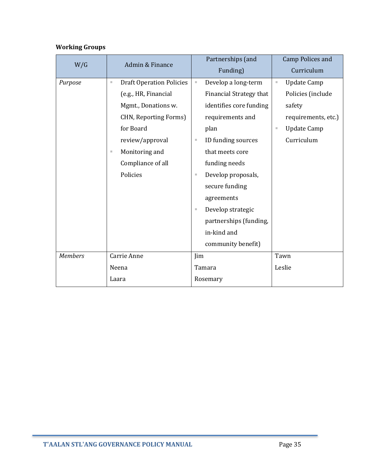## **Working Groups**

| W/G            | Admin & Finance                                   | Partnerships (and<br>Funding)       | <b>Camp Polices and</b><br>Curriculum |
|----------------|---------------------------------------------------|-------------------------------------|---------------------------------------|
| Purpose        | <b>Draft Operation Policies</b><br>$\mathbb{R}^2$ | Develop a long-term<br>Е            | <b>Update Camp</b><br>u.              |
|                | (e.g., HR, Financial                              | Financial Strategy that             | Policies (include                     |
|                | Mgmt., Donations w.                               | identifies core funding             | safety                                |
|                | <b>CHN, Reporting Forms)</b>                      | requirements and                    | requirements, etc.)                   |
|                | for Board                                         | plan                                | <b>Update Camp</b><br>$\mathbb{R}^n$  |
|                | review/approval                                   | ID funding sources<br>$\pm$         | Curriculum                            |
|                | Monitoring and<br>$\mathbb{R}^2$                  | that meets core                     |                                       |
|                | Compliance of all                                 | funding needs                       |                                       |
|                | Policies                                          | Develop proposals,<br>$\pm$         |                                       |
|                |                                                   | secure funding                      |                                       |
|                |                                                   | agreements                          |                                       |
|                |                                                   | Develop strategic<br>$\mathbb{R}^d$ |                                       |
|                |                                                   | partnerships (funding,              |                                       |
|                |                                                   | in-kind and                         |                                       |
|                |                                                   | community benefit)                  |                                       |
| <b>Members</b> | Carrie Anne                                       | Jim                                 | Tawn                                  |
|                | Neena                                             | Tamara                              | Leslie                                |
|                | Laara                                             | Rosemary                            |                                       |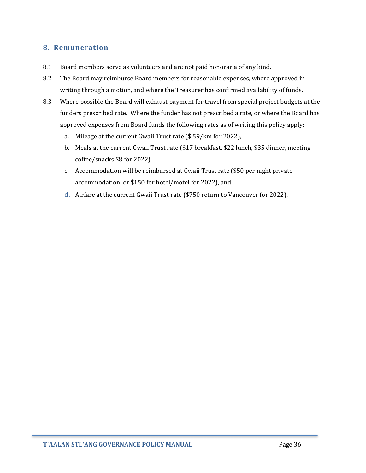#### **8. Remuneration**

- 8.1 Board members serve as volunteers and are not paid honoraria of any kind.
- 8.2 The Board may reimburse Board members for reasonable expenses, where approved in writing through a motion, and where the Treasurer has confirmed availability of funds.
- 8.3 Where possible the Board will exhaust payment for travel from special project budgets at the funders prescribed rate. Where the funder has not prescribed a rate, or where the Board has approved expenses from Board funds the following rates as of writing this policy apply:
	- a. Mileage at the current Gwaii Trust rate (\$.59/km for 2022),
	- b. Meals at the current Gwaii Trust rate (\$17 breakfast, \$22 lunch, \$35 dinner, meeting coffee/snacks \$8 for 2022)
	- c. Accommodation will be reimbursed at Gwaii Trust rate (\$50 per night private accommodation, or \$150 for hotel/motel for 2022), and
	- d. Airfare at the current Gwaii Trust rate (\$750 return to Vancouver for 2022).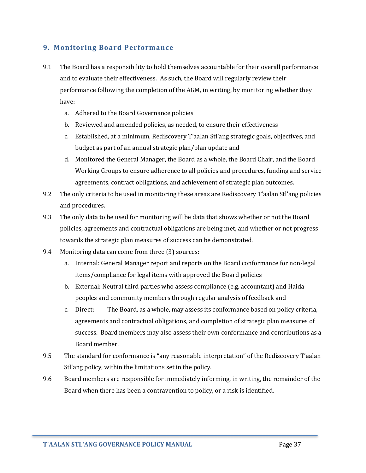## **9. Monitoring Board Performance**

- 9.1 The Board has a responsibility to hold themselves accountable for their overall performance and to evaluate their effectiveness. As such, the Board will regularly review their performance following the completion of the AGM, in writing, by monitoring whether they have:
	- a. Adhered to the Board Governance policies
	- b. Reviewed and amended policies, as needed, to ensure their effectiveness
	- c. Established, at a minimum, Rediscovery T'aalan Stl'ang strategic goals, objectives, and budget as part of an annual strategic plan/plan update and
	- d. Monitored the General Manager, the Board as a whole, the Board Chair, and the Board Working Groups to ensure adherence to all policies and procedures, funding and service agreements, contract obligations, and achievement of strategic plan outcomes.
- 9.2 The only criteria to be used in monitoring these areas are Rediscovery T'aalan Stl'ang policies and procedures.
- 9.3 The only data to be used for monitoring will be data that shows whether or not the Board policies, agreements and contractual obligations are being met, and whether or not progress towards the strategic plan measures of success can be demonstrated.
- 9.4 Monitoring data can come from three (3) sources:
	- a. Internal: General Manager report and reports on the Board conformance for non-legal items/compliance for legal items with approved the Board policies
	- b. External: Neutral third parties who assess compliance (e.g. accountant) and Haida peoples and community members through regular analysis of feedback and
	- c. Direct: The Board, as a whole, may assess its conformance based on policy criteria, agreements and contractual obligations, and completion of strategic plan measures of success. Board members may also assess their own conformance and contributions as a Board member.
- 9.5 The standard for conformance is "any reasonable interpretation" of the Rediscovery T'aalan Stl'ang policy, within the limitations set in the policy.
- 9.6 Board members are responsible for immediately informing, in writing, the remainder of the Board when there has been a contravention to policy, or a risk is identified.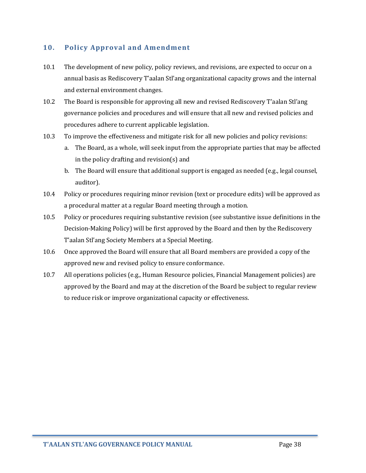## **10. Policy Approval and Amendment**

- 10.1 The development of new policy, policy reviews, and revisions, are expected to occur on a annual basis as Rediscovery T'aalan Stl'ang organizational capacity grows and the internal and external environment changes.
- 10.2 The Board is responsible for approving all new and revised Rediscovery T'aalan Stl'ang governance policies and procedures and will ensure that all new and revised policies and procedures adhere to current applicable legislation.
- 10.3 To improve the effectiveness and mitigate risk for all new policies and policy revisions:
	- a. The Board, as a whole, will seek input from the appropriate parties that may be affected in the policy drafting and revision(s) and
	- b. The Board will ensure that additional support is engaged as needed (e.g., legal counsel, auditor).
- 10.4 Policy or procedures requiring minor revision (text or procedure edits) will be approved as a procedural matter at a regular Board meeting through a motion.
- 10.5 Policy or procedures requiring substantive revision (see substantive issue definitions in the Decision-Making Policy) will be first approved by the Board and then by the Rediscovery T'aalan Stl'ang Society Members at a Special Meeting.
- 10.6 Once approved the Board will ensure that all Board members are provided a copy of the approved new and revised policy to ensure conformance.
- 10.7 All operations policies (e.g., Human Resource policies, Financial Management policies) are approved by the Board and may at the discretion of the Board be subject to regular review to reduce risk or improve organizational capacity or effectiveness.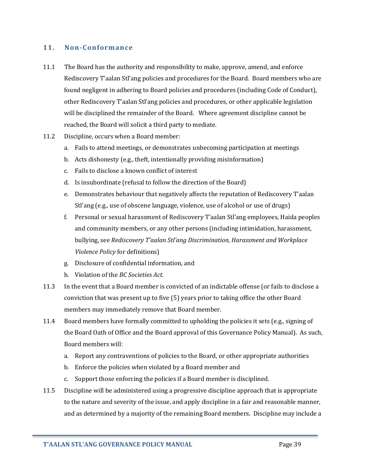## **11. Non-Conformance**

- 11.1 The Board has the authority and responsibility to make, approve, amend, and enforce Rediscovery T'aalan Stl'ang policies and procedures for the Board. Board members who are found negligent in adhering to Board policies and procedures (including Code of Conduct), other Rediscovery T'aalan Stl'ang policies and procedures, or other applicable legislation will be disciplined the remainder of the Board. Where agreement discipline cannot be reached, the Board will solicit a third party to mediate.
- 11.2 Discipline, occurs when a Board member:
	- a. Fails to attend meetings, or demonstrates unbecoming participation at meetings
	- b. Acts dishonesty (e.g., theft, intentionally providing misinformation)
	- c. Fails to disclose a known conflict of interest
	- d. Is insubordinate (refusal to follow the direction of the Board)
	- e. Demonstrates behaviour that negatively affects the reputation of Rediscovery T'aalan Stl'ang (e.g., use of obscene language, violence, use of alcohol or use of drugs)
	- f. Personal or sexual harassment of Rediscovery T'aalan Stl'ang employees, Haida peoples and community members, or any other persons (including intimidation, harassment, bullying, see *Rediscovery T'aalan Stl'ang Discrimination, Harassment and Workplace Violence Policy* for definitions)
	- g. Disclosure of confidential information, and
	- h. Violation of the *BC Societies Act.*
- 11.3 In the event that a Board member is convicted of an indictable offense (or fails to disclose a conviction that was present up to five (5) years prior to taking office the other Board members may immediately remove that Board member.
- 11.4 Board members have formally committed to upholding the policies it sets (e.g., signing of the Board Oath of Office and the Board approval of this Governance Policy Manual). As such, Board members will:
	- a. Report any contraventions of policies to the Board, or other appropriate authorities
	- b. Enforce the policies when violated by a Board member and
	- c. Support those enforcing the policies if a Board member is disciplined.
- 11.5 Discipline will be administered using a progressive discipline approach that is appropriate to the nature and severity of the issue, and apply discipline in a fair and reasonable manner, and as determined by a majority of the remaining Board members. Discipline may include a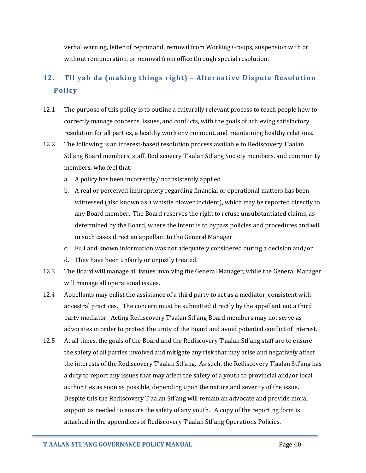verbal warning, letter of reprimand, removal from Working Groups, suspension with or without remuneration, or removal from office through special resolution.

# **12.** Tll yah da (making things right) – Alternative Dispute Resolution **Policy**

- 12.1 The purpose of this policy is to outline a culturally relevant process to teach people how to correctly manage concerns, issues, and conflicts, with the goals of achieving satisfactory resolution for all parties, a healthy work environment, and maintaining healthy relations.
- 12.2 The following is an interest-based resolution process available to Rediscovery T'aalan Stl'ang Board members, staff, Rediscovery T'aalan Stl'ang Society members, and community members, who feel that:
	- a. A policy has been incorrectly/inconsistently applied
	- b. A real or perceived impropriety regarding financial or operational matters has been witnessed (also known as a whistle blower incident), which may be reported directly to any Board member. The Board reserves the right to refuse unsubstantiated claims, as determined by the Board, where the intent is to bypass policies and procedures and will in such cases direct an appellant to the General Manager
	- c. Full and known information was not adequately considered during a decision and/or
	- d. They have been unfairly or unjustly treated.
- 12.3 The Board will manage all issues involving the General Manager, while the General Manager will manage all operational issues.
- 12.4 Appellants may enlist the assistance of a third party to act as a mediator, consistent with ancestral practices. The concern must be submitted directly by the appellant not a third party mediator. Acting Rediscovery T'aalan Stl'ang Board members may not serve as advocates in order to protect the unity of the Board and avoid potential conflict of interest.
- 12.5 At all times, the goals of the Board and the Rediscovery T'aalan Stl'ang staff are to ensure the safety of all parties involved and mitigate any risk that may arise and negatively affect the interests of the Rediscovery T'aalan Stl'ang. As such, the Rediscovery T'aalan Stl'ang has a duty to report any issues that may affect the safety of a youth to provincial and/or local authorities as soon as possible, depending upon the nature and severity of the issue. Despite this the Rediscovery T'aalan Stl'ang will remain an advocate and provide moral support as needed to ensure the safety of any youth.  $\Delta$  copy of the reporting form is attached in the appendices of Rediscovery T'aalan Stl'ang Operations Policies.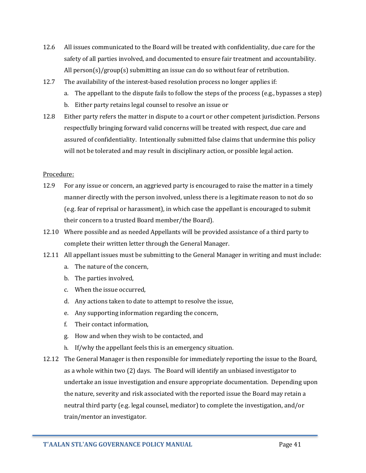- 12.6 All issues communicated to the Board will be treated with confidentiality, due care for the safety of all parties involved, and documented to ensure fair treatment and accountability. All  $person(s)/group(s)$  submitting an issue can do so without fear of retribution.
- 12.7 The availability of the interest-based resolution process no longer applies if:
	- a. The appellant to the dispute fails to follow the steps of the process (e.g., bypasses a step)
	- b. Either party retains legal counsel to resolve an issue or
- 12.8 Either party refers the matter in dispute to a court or other competent jurisdiction. Persons respectfully bringing forward valid concerns will be treated with respect, due care and assured of confidentiality. Intentionally submitted false claims that undermine this policy will not be tolerated and may result in disciplinary action, or possible legal action.

#### Procedure:

- 12.9 For any issue or concern, an aggrieved party is encouraged to raise the matter in a timely manner directly with the person involved, unless there is a legitimate reason to not do so (e.g. fear of reprisal or harassment), in which case the appellant is encouraged to submit their concern to a trusted Board member/the Board).
- 12.10 Where possible and as needed Appellants will be provided assistance of a third party to complete their written letter through the General Manager.
- 12.11 All appellant issues must be submitting to the General Manager in writing and must include:
	- a. The nature of the concern,
	- b. The parties involved,
	- c. When the issue occurred.
	- d. Any actions taken to date to attempt to resolve the issue,
	- e. Any supporting information regarding the concern,
	- f. Their contact information,
	- g. How and when they wish to be contacted, and
	- h. If/why the appellant feels this is an emergency situation.
- 12.12 The General Manager is then responsible for immediately reporting the issue to the Board, as a whole within two  $(2)$  days. The Board will identify an unbiased investigator to undertake an issue investigation and ensure appropriate documentation. Depending upon the nature, severity and risk associated with the reported issue the Board may retain a neutral third party (e.g. legal counsel, mediator) to complete the investigation, and/or train/mentor an investigator.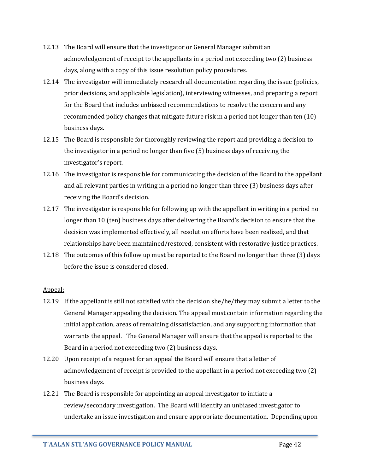- 12.13 The Board will ensure that the investigator or General Manager submit an acknowledgement of receipt to the appellants in a period not exceeding two (2) business days, along with a copy of this issue resolution policy procedures.
- 12.14 The investigator will immediately research all documentation regarding the issue (policies, prior decisions, and applicable legislation), interviewing witnesses, and preparing a report for the Board that includes unbiased recommendations to resolve the concern and any recommended policy changes that mitigate future risk in a period not longer than ten (10) business days.
- 12.15 The Board is responsible for thoroughly reviewing the report and providing a decision to the investigator in a period no longer than five  $(5)$  business days of receiving the investigator's report.
- 12.16 The investigator is responsible for communicating the decision of the Board to the appellant and all relevant parties in writing in a period no longer than three (3) business days after receiving the Board's decision.
- 12.17 The investigator is responsible for following up with the appellant in writing in a period no longer than 10 (ten) business days after delivering the Board's decision to ensure that the decision was implemented effectively, all resolution efforts have been realized, and that relationships have been maintained/restored, consistent with restorative justice practices.
- 12.18 The outcomes of this follow up must be reported to the Board no longer than three (3) days before the issue is considered closed.

## Appeal:

- 12.19 If the appellant is still not satisfied with the decision she/he/they may submit a letter to the General Manager appealing the decision. The appeal must contain information regarding the initial application, areas of remaining dissatisfaction, and any supporting information that warrants the appeal. The General Manager will ensure that the appeal is reported to the Board in a period not exceeding two (2) business days.
- 12.20 Upon receipt of a request for an appeal the Board will ensure that a letter of acknowledgement of receipt is provided to the appellant in a period not exceeding two  $(2)$ business days.
- 12.21 The Board is responsible for appointing an appeal investigator to initiate a review/secondary investigation. The Board will identify an unbiased investigator to undertake an issue investigation and ensure appropriate documentation. Depending upon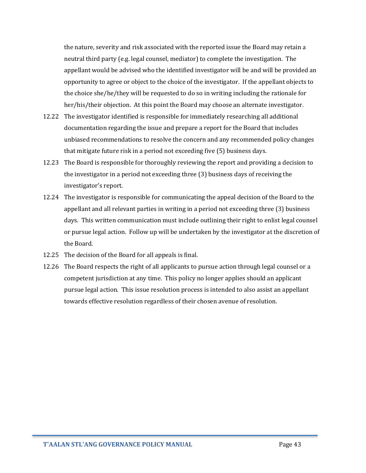the nature, severity and risk associated with the reported issue the Board may retain a neutral third party (e.g. legal counsel, mediator) to complete the investigation. The appellant would be advised who the identified investigator will be and will be provided an opportunity to agree or object to the choice of the investigator. If the appellant objects to the choice  $she/he/they$  will be requested to do so in writing including the rationale for her/his/their objection. At this point the Board may choose an alternate investigator.

- 12.22 The investigator identified is responsible for immediately researching all additional documentation regarding the issue and prepare a report for the Board that includes unbiased recommendations to resolve the concern and any recommended policy changes that mitigate future risk in a period not exceeding five (5) business days.
- 12.23 The Board is responsible for thoroughly reviewing the report and providing a decision to the investigator in a period not exceeding three (3) business days of receiving the investigator's report.
- 12.24 The investigator is responsible for communicating the appeal decision of the Board to the appellant and all relevant parties in writing in a period not exceeding three (3) business days. This written communication must include outlining their right to enlist legal counsel or pursue legal action. Follow up will be undertaken by the investigator at the discretion of the Board.
- 12.25 The decision of the Board for all appeals is final.
- 12.26 The Board respects the right of all applicants to pursue action through legal counsel or a competent jurisdiction at any time. This policy no longer applies should an applicant pursue legal action. This issue resolution process is intended to also assist an appellant towards effective resolution regardless of their chosen avenue of resolution.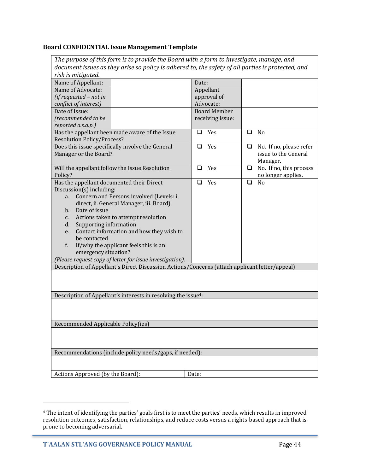## **Board CONFIDENTIAL Issue Management Template**

| document issues as they arise so policy is adhered to, the safety of all parties is protected, and<br>risk is mitigated. |  |  |  |  |
|--------------------------------------------------------------------------------------------------------------------------|--|--|--|--|
|                                                                                                                          |  |  |  |  |
|                                                                                                                          |  |  |  |  |
| Name of Appellant:<br>Date:                                                                                              |  |  |  |  |
| Name of Advocate:<br>Appellant                                                                                           |  |  |  |  |
| (if requested - not in<br>approval of                                                                                    |  |  |  |  |
| Advocate:<br>conflict of interest)                                                                                       |  |  |  |  |
| Date of Issue:<br><b>Board Member</b>                                                                                    |  |  |  |  |
| (recommended to be<br>receiving issue:                                                                                   |  |  |  |  |
| reported a.s.a.p.)                                                                                                       |  |  |  |  |
| Has the appellant been made aware of the Issue<br>Yes<br>$\Box$<br>$\Box$<br>No                                          |  |  |  |  |
| <b>Resolution Policy/Process?</b>                                                                                        |  |  |  |  |
| Does this issue specifically involve the General<br>No. If no, please refer<br>$\Box$<br>Yes<br>❏                        |  |  |  |  |
| Manager or the Board?<br>issue to the General                                                                            |  |  |  |  |
| Manager.                                                                                                                 |  |  |  |  |
| $\Box$<br>Yes<br>No. If no, this process<br>Will the appellant follow the Issue Resolution<br>$\Box$                     |  |  |  |  |
| no longer applies.<br>Policy?                                                                                            |  |  |  |  |
| $\Box$<br>Has the appellant documented their Direct<br>Yes<br>No<br>$\Box$                                               |  |  |  |  |
| Discussion(s) including:                                                                                                 |  |  |  |  |
| a. Concern and Persons involved (Levels: i.                                                                              |  |  |  |  |
| direct, ii. General Manager, iii. Board)                                                                                 |  |  |  |  |
| Date of issue<br>b.                                                                                                      |  |  |  |  |
| Actions taken to attempt resolution<br>c.                                                                                |  |  |  |  |
| Supporting information<br>d.                                                                                             |  |  |  |  |
| Contact information and how they wish to<br>e.                                                                           |  |  |  |  |
| be contacted                                                                                                             |  |  |  |  |
| f.<br>If/why the applicant feels this is an                                                                              |  |  |  |  |
| emergency situation?                                                                                                     |  |  |  |  |
| (Please request copy of letter for issue investigation).                                                                 |  |  |  |  |
| Description of Appellant's Direct Discussion Actions/Concerns (attach applicant letter/appeal)                           |  |  |  |  |
|                                                                                                                          |  |  |  |  |
|                                                                                                                          |  |  |  |  |
|                                                                                                                          |  |  |  |  |
| Description of Appellant's interests in resolving the issue <sup>4</sup> :                                               |  |  |  |  |
|                                                                                                                          |  |  |  |  |
|                                                                                                                          |  |  |  |  |
|                                                                                                                          |  |  |  |  |
| Recommended Applicable Policy(ies)                                                                                       |  |  |  |  |
|                                                                                                                          |  |  |  |  |
|                                                                                                                          |  |  |  |  |
|                                                                                                                          |  |  |  |  |
| Recommendations (include policy needs/gaps, if needed):                                                                  |  |  |  |  |
|                                                                                                                          |  |  |  |  |
| Actions Approved (by the Board):<br>Date:                                                                                |  |  |  |  |

 $4$  The intent of identifying the parties' goals first is to meet the parties' needs, which results in improved resolution outcomes, satisfaction, relationships, and reduce costs versus a rights-based approach that is prone to becoming adversarial.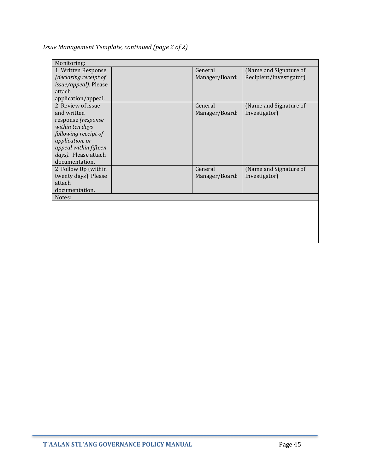*Issue Management Template, continued (page 2 of 2)*

| Monitoring:                   |                |                         |
|-------------------------------|----------------|-------------------------|
| 1. Written Response           | General        | (Name and Signature of  |
| (declaring receipt of         | Manager/Board: | Recipient/Investigator) |
| <i>issue/appeal</i> ). Please |                |                         |
| attach                        |                |                         |
| application/appeal.           |                |                         |
| 2. Review of issue            | General        | (Name and Signature of  |
| and written                   | Manager/Board: | Investigator)           |
| response (response            |                |                         |
| within ten days               |                |                         |
| following receipt of          |                |                         |
| application, or               |                |                         |
| appeal within fifteen         |                |                         |
| days). Please attach          |                |                         |
| documentation.                |                |                         |
| 2. Follow Up (within          | General        | (Name and Signature of  |
| twenty days). Please          | Manager/Board: | Investigator)           |
| attach                        |                |                         |
| documentation.                |                |                         |
| Notes:                        |                |                         |
|                               |                |                         |
|                               |                |                         |
|                               |                |                         |
|                               |                |                         |
|                               |                |                         |
|                               |                |                         |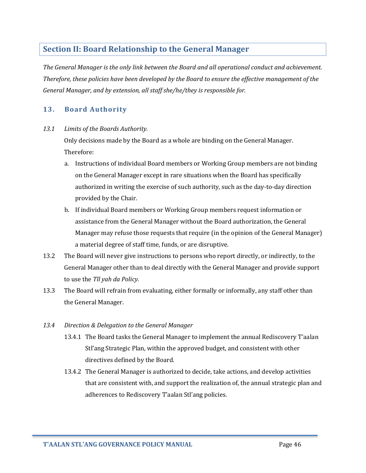# **Section II: Board Relationship to the General Manager**

*The General Manager* is the only link between the Board and all operational conduct and achievement. Therefore, these policies have been developed by the Board to ensure the effective management of the *General Manager, and by extension, all staff she/he/they is responsible for.* 

## **13. Board Authority**

13.1 *Limits of the Boards Authority.* 

Only decisions made by the Board as a whole are binding on the General Manager. Therefore:

- a. Instructions of individual Board members or Working Group members are not binding on the General Manager except in rare situations when the Board has specifically authorized in writing the exercise of such authority, such as the day-to-day direction provided by the Chair.
- b. If individual Board members or Working Group members request information or assistance from the General Manager without the Board authorization, the General Manager may refuse those requests that require (in the opinion of the General Manager) a material degree of staff time, funds, or are disruptive.
- 13.2 The Board will never give instructions to persons who report directly, or indirectly, to the General Manager other than to deal directly with the General Manager and provide support to use the *Tll yah da Policy*.
- 13.3 The Board will refrain from evaluating, either formally or informally, any staff other than the General Manager.
- 13.4 *Direction & Delegation to the General Manager* 
	- 13.4.1 The Board tasks the General Manager to implement the annual Rediscovery T'aalan Stl'ang Strategic Plan, within the approved budget, and consistent with other directives defined by the Board.
	- 13.4.2 The General Manager is authorized to decide, take actions, and develop activities that are consistent with, and support the realization of, the annual strategic plan and adherences to Rediscovery T'aalan Stl'ang policies.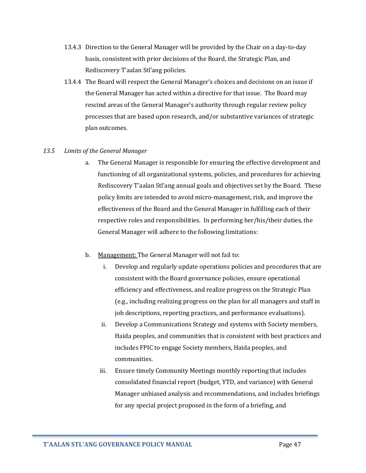- 13.4.3 Direction to the General Manager will be provided by the Chair on a day-to-day basis, consistent with prior decisions of the Board, the Strategic Plan, and Rediscovery T'aalan Stl'ang policies.
- 13.4.4 The Board will respect the General Manager's choices and decisions on an issue if the General Manager has acted within a directive for that issue. The Board may rescind areas of the General Manager's authority through regular review policy processes that are based upon research, and/or substantive variances of strategic plan outcomes.

## *13.5 Limits of the General Manager*

- a. The General Manager is responsible for ensuring the effective development and functioning of all organizational systems, policies, and procedures for achieving Rediscovery T'aalan Stl'ang annual goals and objectives set by the Board. These policy limits are intended to avoid micro-management, risk, and improve the effectiveness of the Board and the General Manager in fulfilling each of their respective roles and responsibilities. In performing her/his/their duties, the General Manager will adhere to the following limitations:
- b. Management: The General Manager will not fail to:
	- i. Develop and regularly update operations policies and procedures that are consistent with the Board governance policies, ensure operational efficiency and effectiveness, and realize progress on the Strategic Plan (e.g., including realizing progress on the plan for all managers and staff in job descriptions, reporting practices, and performance evaluations).
	- ii. Develop a Communications Strategy and systems with Society members, Haida peoples, and communities that is consistent with best practices and includes FPIC to engage Society members, Haida peoples, and communities.
	- iii. Ensure timely Community Meetings monthly reporting that includes consolidated financial report (budget, YTD, and variance) with General Manager unbiased analysis and recommendations, and includes briefings for any special project proposed in the form of a briefing, and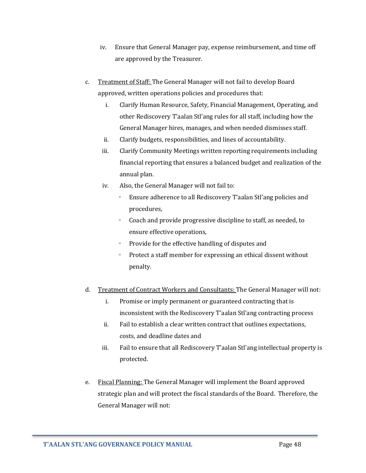- iv. Ensure that General Manager pay, expense reimbursement, and time off are approved by the Treasurer.
- c. Treatment of Staff: The General Manager will not fail to develop Board approved, written operations policies and procedures that:
	- i. Clarify Human Resource, Safety, Financial Management, Operating, and other Rediscovery T'aalan Stl'ang rules for all staff, including how the General Manager hires, manages, and when needed dismisses staff.
	- ii. Clarify budgets, responsibilities, and lines of accountability.
	- iii. Clarify Community Meetings written reporting requirements including financial reporting that ensures a balanced budget and realization of the annual plan.
	- iv. Also, the General Manager will not fail to:
		- Ensure adherence to all Rediscovery T'aalan Stl'ang policies and procedures,
		- Coach and provide progressive discipline to staff, as needed, to ensure effective operations,
		- Provide for the effective handling of disputes and
		- Protect a staff member for expressing an ethical dissent without penalty.
- d. Treatment of Contract Workers and Consultants: The General Manager will not:
	- i. Promise or imply permanent or guaranteed contracting that is inconsistent with the Rediscovery T'aalan Stl'ang contracting process
	- ii. Fail to establish a clear written contract that outlines expectations, costs, and deadline dates and
	- iii. Fail to ensure that all Rediscovery T'aalan Stl'ang intellectual property is protected.
- e. Fiscal Planning: The General Manager will implement the Board approved strategic plan and will protect the fiscal standards of the Board. Therefore, the General Manager will not: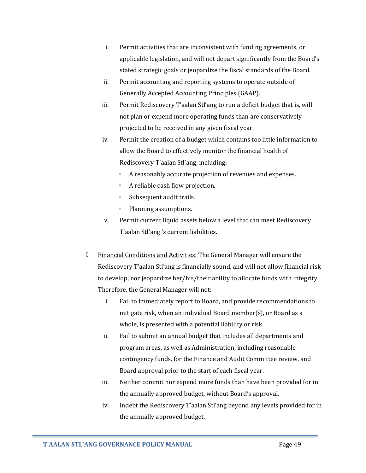- i. Permit activities that are inconsistent with funding agreements, or applicable legislation, and will not depart significantly from the Board's stated strategic goals or jeopardize the fiscal standards of the Board.
- ii. Permit accounting and reporting systems to operate outside of Generally Accepted Accounting Principles (GAAP).
- iii. Permit Rediscovery T'aalan Stl'ang to run a deficit budget that is, will not plan or expend more operating funds than are conservatively projected to be received in any given fiscal year.
- iv. Permit the creation of a budget which contains too little information to allow the Board to effectively monitor the financial health of Rediscovery T'aalan Stl'ang, including:
	- A reasonably accurate projection of revenues and expenses.
	- A reliable cash flow projection.
	- Subsequent audit trails.
	- Planning assumptions.
- v. Permit current liquid assets below a level that can meet Rediscovery T'aalan Stl'ang 's current liabilities.
- f. Financial Conditions and Activities: The General Manager will ensure the Rediscovery T'aalan Stl'ang is financially sound, and will not allow financial risk to develop, nor jeopardize her/his/their ability to allocate funds with integrity. Therefore, the General Manager will not:
	- i. Fail to immediately report to Board, and provide recommendations to mitigate risk, when an individual Board member(s), or Board as a whole, is presented with a potential liability or risk.
	- ii. Fail to submit an annual budget that includes all departments and program areas, as well as Administration, including reasonable contingency funds, for the Finance and Audit Committee review, and Board approval prior to the start of each fiscal year.
	- iii. Neither commit nor expend more funds than have been provided for in the annually approved budget, without Board's approval.
	- iv. Indebt the Rediscovery T'aalan Stl'ang beyond any levels provided for in the annually approved budget.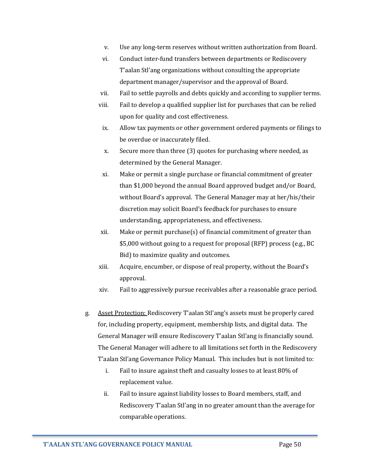- v. Use any long-term reserves without written authorization from Board.
- vi. Conduct inter-fund transfers between departments or Rediscovery T'aalan Stl'ang organizations without consulting the appropriate department manager/supervisor and the approval of Board.
- vii. Fail to settle payrolls and debts quickly and according to supplier terms.
- viii. Fail to develop a qualified supplier list for purchases that can be relied upon for quality and cost effectiveness.
- ix. Allow tax payments or other government ordered payments or filings to be overdue or inaccurately filed.
- x. Secure more than three (3) quotes for purchasing where needed, as determined by the General Manager.
- xi. Make or permit a single purchase or financial commitment of greater than \$1,000 beyond the annual Board approved budget and/or Board, without Board's approval. The General Manager may at her/his/their discretion may solicit Board's feedback for purchases to ensure understanding, appropriateness, and effectiveness.
- xii. Make or permit purchase(s) of financial commitment of greater than \$5,000 without going to a request for proposal (RFP) process (e.g., BC Bid) to maximize quality and outcomes.
- xiii. Acquire, encumber, or dispose of real property, without the Board's approval.
- xiv. Fail to aggressively pursue receivables after a reasonable grace period.
- g. Asset Protection: Rediscovery T'aalan Stl'ang's assets must be properly cared for, including property, equipment, membership lists, and digital data. The General Manager will ensure Rediscovery T'aalan Stl'ang is financially sound. The General Manager will adhere to all limitations set forth in the Rediscovery T'aalan Stl'ang Governance Policy Manual. This includes but is not limited to:
	- i. Fail to insure against theft and casualty losses to at least 80% of replacement value.
	- ii. Fail to insure against liability losses to Board members, staff, and Rediscovery T'aalan Stl'ang in no greater amount than the average for comparable operations.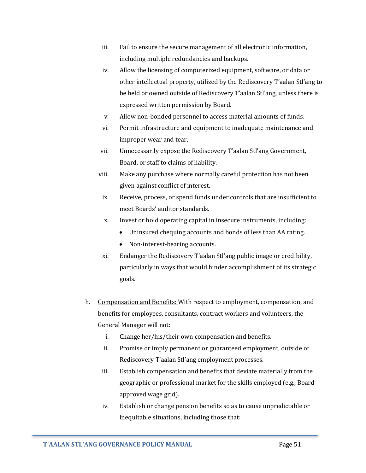- iii. Fail to ensure the secure management of all electronic information, including multiple redundancies and backups.
- iv. Allow the licensing of computerized equipment, software, or data or other intellectual property, utilized by the Rediscovery T'aalan Stl'ang to be held or owned outside of Rediscovery T'aalan Stl'ang, unless there is expressed written permission by Board.
- v. Allow non-bonded personnel to access material amounts of funds.
- vi. Permit infrastructure and equipment to inadequate maintenance and improper wear and tear.
- vii. Unnecessarily expose the Rediscovery T'aalan Stl'ang Government, Board, or staff to claims of liability.
- viii. Make any purchase where normally careful protection has not been given against conflict of interest.
- ix. Receive, process, or spend funds under controls that are insufficient to meet Boards' auditor standards.
- x. Invest or hold operating capital in insecure instruments, including:
	- Uninsured chequing accounts and bonds of less than AA rating.
	- Non-interest-bearing accounts.
- xi. Endanger the Rediscovery T'aalan Stl'ang public image or credibility, particularly in ways that would hinder accomplishment of its strategic goals.
- h. Compensation and Benefits: With respect to employment, compensation, and benefits for employees, consultants, contract workers and volunteers, the General Manager will not:
	- i. Change her/his/their own compensation and benefits.
	- ii. Promise or imply permanent or guaranteed employment, outside of Rediscovery T'aalan Stl'ang employment processes.
	- iii. Establish compensation and benefits that deviate materially from the geographic or professional market for the skills employed (e.g., Board approved wage grid).
	- iv. Establish or change pension benefits so as to cause unpredictable or inequitable situations, including those that: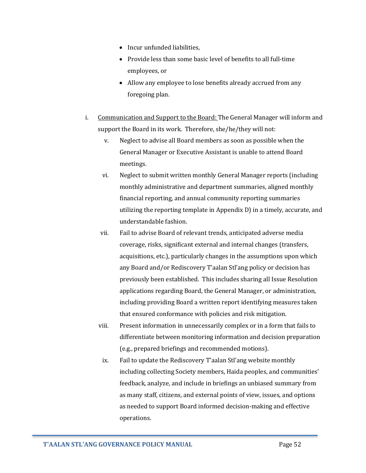- Incur unfunded liabilities,
- Provide less than some basic level of benefits to all full-time employees, or
- Allow any employee to lose benefits already accrued from any foregoing plan.
- i. Communication and Support to the Board: The General Manager will inform and support the Board in its work. Therefore, she/he/they will not:
	- v. Neglect to advise all Board members as soon as possible when the General Manager or Executive Assistant is unable to attend Board meetings.
	- vi. Neglect to submit written monthly General Manager reports (including monthly administrative and department summaries, aligned monthly financial reporting, and annual community reporting summaries utilizing the reporting template in Appendix D) in a timely, accurate, and understandable fashion.
	- vii. Fail to advise Board of relevant trends, anticipated adverse media coverage, risks, significant external and internal changes (transfers, acquisitions, etc.), particularly changes in the assumptions upon which any Board and/or Rediscovery T'aalan Stl'ang policy or decision has previously been established. This includes sharing all Issue Resolution applications regarding Board, the General Manager, or administration, including providing Board a written report identifying measures taken that ensured conformance with policies and risk mitigation.
	- viii. Present information in unnecessarily complex or in a form that fails to differentiate between monitoring information and decision preparation (e.g., prepared briefings and recommended motions).
	- ix. Fail to update the Rediscovery T'aalan Stl'ang website monthly including collecting Society members, Haida peoples, and communities' feedback, analyze, and include in briefings an unbiased summary from as many staff, citizens, and external points of view, issues, and options as needed to support Board informed decision-making and effective operations.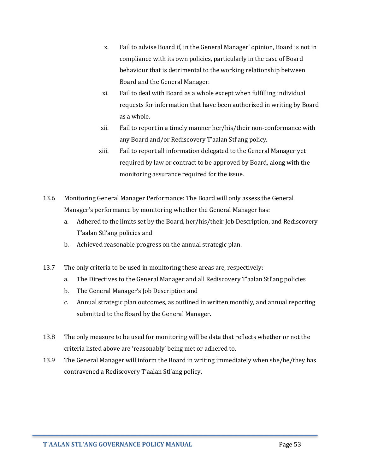- x. Fail to advise Board if, in the General Manager' opinion, Board is not in compliance with its own policies, particularly in the case of Board behaviour that is detrimental to the working relationship between Board and the General Manager.
- xi. Fail to deal with Board as a whole except when fulfilling individual requests for information that have been authorized in writing by Board as a whole.
- xii. Fail to report in a timely manner her/his/their non-conformance with any Board and/or Rediscovery T'aalan Stl'ang policy.
- xiii. Fail to report all information delegated to the General Manager yet required by law or contract to be approved by Board, along with the monitoring assurance required for the issue.
- 13.6 Monitoring General Manager Performance: The Board will only assess the General Manager's performance by monitoring whether the General Manager has:
	- a. Adhered to the limits set by the Board, her/his/their Job Description, and Rediscovery T'aalan Stl'ang policies and
	- b. Achieved reasonable progress on the annual strategic plan.
- 13.7 The only criteria to be used in monitoring these areas are, respectively:
	- a. The Directives to the General Manager and all Rediscovery T'aalan Stl'ang policies
	- b. The General Manager's Job Description and
	- c. Annual strategic plan outcomes, as outlined in written monthly, and annual reporting submitted to the Board by the General Manager.
- 13.8 The only measure to be used for monitoring will be data that reflects whether or not the criteria listed above are 'reasonably' being met or adhered to.
- 13.9 The General Manager will inform the Board in writing immediately when she/he/they has contravened a Rediscovery T'aalan Stl'ang policy.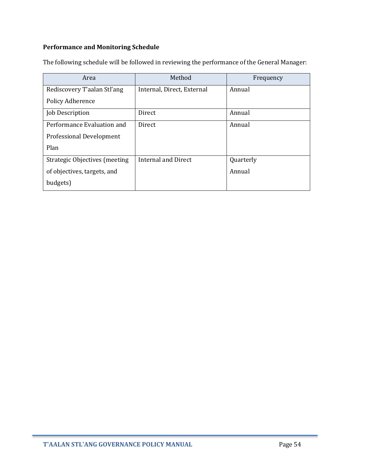## **Performance and Monitoring Schedule**

| Area                                 | Method                     | Frequency |
|--------------------------------------|----------------------------|-----------|
| Rediscovery T'aalan Stl'ang          | Internal, Direct, External | Annual    |
| <b>Policy Adherence</b>              |                            |           |
| <b>Job Description</b>               | Direct                     | Annual    |
| Performance Evaluation and           | Direct                     | Annual    |
| <b>Professional Development</b>      |                            |           |
| Plan                                 |                            |           |
| <b>Strategic Objectives (meeting</b> | Internal and Direct        | Quarterly |
| of objectives, targets, and          |                            | Annual    |
| budgets)                             |                            |           |

The following schedule will be followed in reviewing the performance of the General Manager: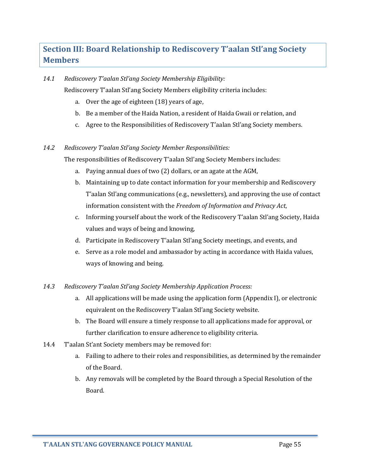# **Section III: Board Relationship to Rediscovery T'aalan Stl'ang Society Members**

*14.1 Rediscovery T'aalan Stl'ang Society Membership Eligibility:*

Rediscovery T'aalan Stl'ang Society Members eligibility criteria includes:

- a. Over the age of eighteen  $(18)$  years of age,
- b. Be a member of the Haida Nation, a resident of Haida Gwaii or relation, and
- c. Agree to the Responsibilities of Rediscovery T'aalan Stl'ang Society members.

## *14.2 Rediscovery T'aalan Stl'ang Society Member Responsibilities:*

The responsibilities of Rediscovery T'aalan Stl'ang Society Members includes:

- a. Paying annual dues of two  $(2)$  dollars, or an agate at the AGM,
- b. Maintaining up to date contact information for your membership and Rediscovery  $T'$ aalan Stl'ang communications (e.g., newsletters), and approving the use of contact information consistent with the *Freedom of Information and Privacy Act*,
- c. Informing yourself about the work of the Rediscovery T'aalan Stl'ang Society, Haida values and ways of being and knowing,
- d. Participate in Rediscovery T'aalan Stl'ang Society meetings, and events, and
- e. Serve as a role model and ambassador by acting in accordance with Haida values, ways of knowing and being.
- *14.3 Rediscovery T'aalan Stl'ang Society Membership Application Process:*
	- a. All applications will be made using the application form (Appendix I), or electronic equivalent on the Rediscovery T'aalan Stl'ang Society website.
	- b. The Board will ensure a timely response to all applications made for approval, or further clarification to ensure adherence to eligibility criteria.
- 14.4 T'aalan St'ant Society members may be removed for:
	- a. Failing to adhere to their roles and responsibilities, as determined by the remainder of the Board.
	- b. Any removals will be completed by the Board through a Special Resolution of the Board.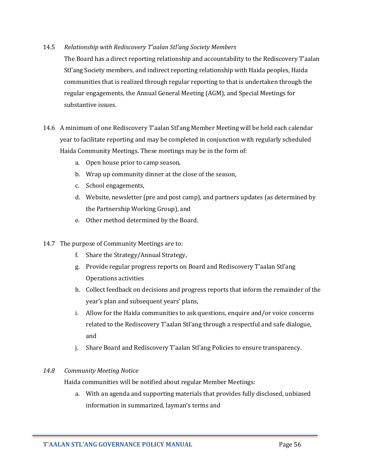### 14.5 *Relationship with Rediscovery T'aalan Stl'ang Society Members*

The Board has a direct reporting relationship and accountability to the Rediscovery T'aalan Stl'ang Society members, and indirect reporting relationship with Haida peoples, Haida communities that is realized through regular reporting to that is undertaken through the regular engagements, the Annual General Meeting (AGM), and Special Meetings for substantive issues.

- 14.6 A minimum of one Rediscovery T'aalan Stl'ang Member Meeting will be held each calendar year to facilitate reporting and may be completed in conjunction with regularly scheduled Haida Community Meetings. These meetings may be in the form of:
	- a. Open house prior to camp season,
	- b. Wrap up community dinner at the close of the season,
	- c. School engagements,
	- d. Website, newsletter (pre and post camp), and partners updates (as determined by the Partnership Working Group), and
	- e. Other method determined by the Board.
- 14.7 The purpose of Community Meetings are to:
	- f. Share the Strategy/Annual Strategy,
	- g. Provide regular progress reports on Board and Rediscovery T'aalan Stl'ang Operations activities
	- h. Collect feedback on decisions and progress reports that inform the remainder of the year's plan and subsequent years' plans,
	- i. Allow for the Haida communities to ask questions, enquire and/or voice concerns related to the Rediscovery T'aalan Stl'ang through a respectful and safe dialogue, and
	- j. Share Board and Rediscovery T'aalan Stl'ang Policies to ensure transparency.

### 14.8 Community Meeting Notice

Haida communities will be notified about regular Member Meetings:

a. With an agenda and supporting materials that provides fully disclosed, unbiased information in summarized, layman's terms and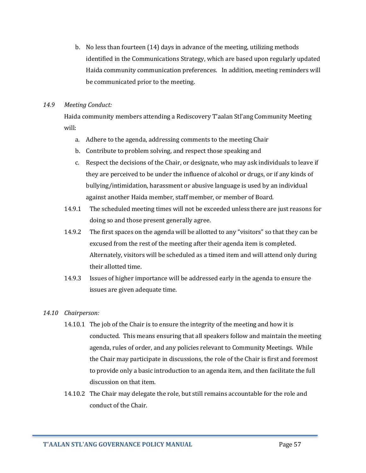b. No less than fourteen (14) days in advance of the meeting, utilizing methods identified in the Communications Strategy, which are based upon regularly updated Haida community communication preferences. In addition, meeting reminders will be communicated prior to the meeting.

### *14.9 Meeting Conduct:*

Haida community members attending a Rediscovery T'aalan Stl'ang Community Meeting will:

- a. Adhere to the agenda, addressing comments to the meeting Chair
- b. Contribute to problem solving, and respect those speaking and
- c. Respect the decisions of the Chair, or designate, who may ask individuals to leave if they are perceived to be under the influence of alcohol or drugs, or if any kinds of bullying/intimidation, harassment or abusive language is used by an individual against another Haida member, staff member, or member of Board.
- 14.9.1 The scheduled meeting times will not be exceeded unless there are just reasons for doing so and those present generally agree.
- 14.9.2 The first spaces on the agenda will be allotted to any "visitors" so that they can be excused from the rest of the meeting after their agenda item is completed. Alternately, visitors will be scheduled as a timed item and will attend only during their allotted time.
- 14.9.3 Issues of higher importance will be addressed early in the agenda to ensure the issues are given adequate time.

## *14.10 Chairperson:*

- 14.10.1 The job of the Chair is to ensure the integrity of the meeting and how it is conducted. This means ensuring that all speakers follow and maintain the meeting agenda, rules of order, and any policies relevant to Community Meetings. While the Chair may participate in discussions, the role of the Chair is first and foremost to provide only a basic introduction to an agenda item, and then facilitate the full discussion on that item.
- 14.10.2 The Chair may delegate the role, but still remains accountable for the role and conduct of the Chair.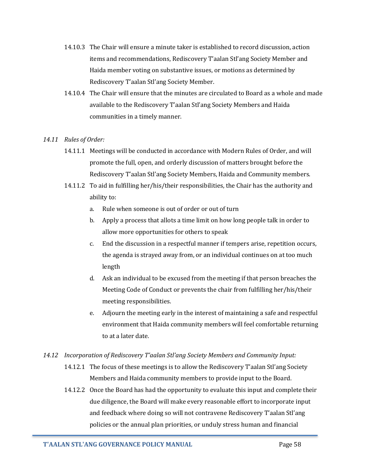- 14.10.3 The Chair will ensure a minute taker is established to record discussion, action items and recommendations, Rediscovery T'aalan Stl'ang Society Member and Haida member voting on substantive issues, or motions as determined by Rediscovery T'aalan Stl'ang Society Member.
- 14.10.4 The Chair will ensure that the minutes are circulated to Board as a whole and made available to the Rediscovery T'aalan Stl'ang Society Members and Haida communities in a timely manner.

### *14.11 Rules of Order:*

- 14.11.1 Meetings will be conducted in accordance with Modern Rules of Order, and will promote the full, open, and orderly discussion of matters brought before the Rediscovery T'aalan Stl'ang Society Members, Haida and Community members.
- 14.11.2 To aid in fulfilling her/his/their responsibilities, the Chair has the authority and ability to:
	- a. Rule when someone is out of order or out of turn
	- b. Apply a process that allots a time limit on how long people talk in order to allow more opportunities for others to speak
	- c. End the discussion in a respectful manner if tempers arise, repetition occurs, the agenda is strayed away from, or an individual continues on at too much length
	- d. Ask an individual to be excused from the meeting if that person breaches the Meeting Code of Conduct or prevents the chair from fulfilling her/his/their meeting responsibilities.
	- e. Adjourn the meeting early in the interest of maintaining a safe and respectful environment that Haida community members will feel comfortable returning to at a later date.

## 14.12 *Incorporation of Rediscovery T'aalan Stl'ang Society Members and Community Input:*

- 14.12.1 The focus of these meetings is to allow the Rediscovery T'aalan Stl'ang Society Members and Haida community members to provide input to the Board.
- 14.12.2 Once the Board has had the opportunity to evaluate this input and complete their due diligence, the Board will make every reasonable effort to incorporate input and feedback where doing so will not contravene Rediscovery T'aalan Stl'ang policies or the annual plan priorities, or unduly stress human and financial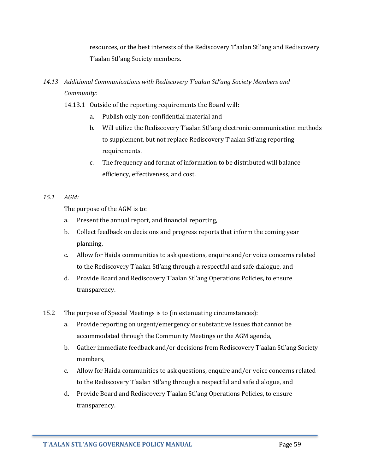resources, or the best interests of the Rediscovery T'aalan Stl'ang and Rediscovery T'aalan Stl'ang Society members.

# 14.13 Additional Communications with Rediscovery T'aalan Stl'ang Society Members and *Community:*

- 14.13.1 Outside of the reporting requirements the Board will:
	- a. Publish only non-confidential material and
	- b. Will utilize the Rediscovery T'aalan Stl'ang electronic communication methods to supplement, but not replace Rediscovery T'aalan Stl'ang reporting requirements.
	- c. The frequency and format of information to be distributed will balance efficiency, effectiveness, and cost.
- *15.1 AGM:*

The purpose of the AGM is to:

- a. Present the annual report, and financial reporting,
- b. Collect feedback on decisions and progress reports that inform the coming year planning,
- c. Allow for Haida communities to ask questions, enquire and/or voice concerns related to the Rediscovery T'aalan Stl'ang through a respectful and safe dialogue, and
- d. Provide Board and Rediscovery T'aalan Stl'ang Operations Policies, to ensure transparency.
- 15.2 The purpose of Special Meetings is to (in extenuating circumstances):
	- a. Provide reporting on urgent/emergency or substantive issues that cannot be accommodated through the Community Meetings or the AGM agenda,
	- b. Gather immediate feedback and/or decisions from Rediscovery T'aalan Stl'ang Society members,
	- c. Allow for Haida communities to ask questions, enquire and/or voice concerns related to the Rediscovery T'aalan Stl'ang through a respectful and safe dialogue, and
	- d. Provide Board and Rediscovery T'aalan Stl'ang Operations Policies, to ensure transparency.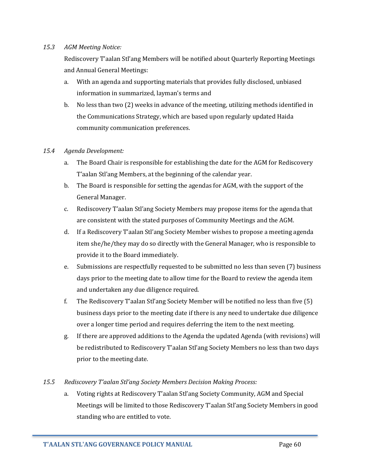### *15.3 AGM Meeting Notice:*

Rediscovery T'aalan Stl'ang Members will be notified about Quarterly Reporting Meetings and Annual General Meetings:

- a. With an agenda and supporting materials that provides fully disclosed, unbiased information in summarized, layman's terms and
- b. No less than two (2) weeks in advance of the meeting, utilizing methods identified in the Communications Strategy, which are based upon regularly updated Haida community communication preferences.

## *15.4 Agenda Development:*

- a. The Board Chair is responsible for establishing the date for the AGM for Rediscovery T'aalan Stl'ang Members, at the beginning of the calendar year.
- b. The Board is responsible for setting the agendas for AGM, with the support of the General Manager.
- c. Rediscovery T'aalan Stl'ang Society Members may propose items for the agenda that are consistent with the stated purposes of Community Meetings and the AGM.
- d. If a Rediscovery T'aalan Stl'ang Society Member wishes to propose a meeting agenda item she/he/they may do so directly with the General Manager, who is responsible to provide it to the Board immediately.
- e. Submissions are respectfully requested to be submitted no less than seven (7) business days prior to the meeting date to allow time for the Board to review the agenda item and undertaken any due diligence required.
- f. The Rediscovery T'aalan Stl'ang Society Member will be notified no less than five (5) business days prior to the meeting date if there is any need to undertake due diligence over a longer time period and requires deferring the item to the next meeting.
- g. If there are approved additions to the Agenda the updated Agenda (with revisions) will be redistributed to Rediscovery T'aalan Stl'ang Society Members no less than two days prior to the meeting date.

## *15.5 Rediscovery T'aalan Stl'ang Society Members Decision Making Process:*

a. Voting rights at Rediscovery T'aalan Stl'ang Society Community, AGM and Special Meetings will be limited to those Rediscovery T'aalan Stl'ang Society Members in good standing who are entitled to vote.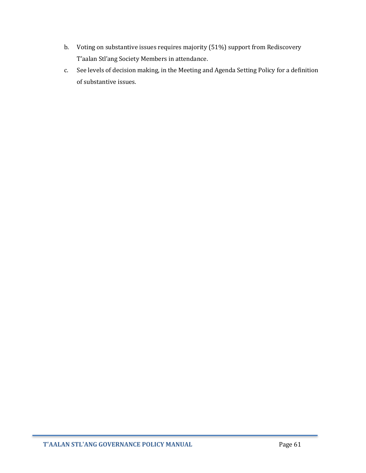- b. Voting on substantive issues requires majority (51%) support from Rediscovery T'aalan Stl'ang Society Members in attendance.
- c. See levels of decision making, in the Meeting and Agenda Setting Policy for a definition of substantive issues.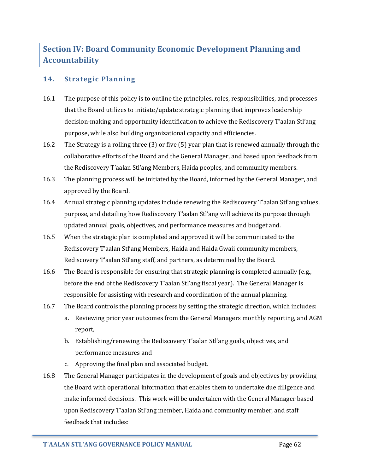# **Section IV: Board Community Economic Development Planning and Accountability**

## **14. Strategic Planning**

- 16.1 The purpose of this policy is to outline the principles, roles, responsibilities, and processes that the Board utilizes to initiate/update strategic planning that improves leadership decision-making and opportunity identification to achieve the Rediscovery T'aalan Stl'ang purpose, while also building organizational capacity and efficiencies.
- 16.2 The Strategy is a rolling three (3) or five (5) year plan that is renewed annually through the collaborative efforts of the Board and the General Manager, and based upon feedback from the Rediscovery T'aalan Stl'ang Members, Haida peoples, and community members.
- 16.3 The planning process will be initiated by the Board, informed by the General Manager, and approved by the Board.
- 16.4 Annual strategic planning updates include renewing the Rediscovery T'aalan Stl'ang values, purpose, and detailing how Rediscovery T'aalan Stl'ang will achieve its purpose through updated annual goals, objectives, and performance measures and budget and.
- 16.5 When the strategic plan is completed and approved it will be communicated to the Rediscovery T'aalan Stl'ang Members, Haida and Haida Gwaii community members, Rediscovery T'aalan Stl'ang staff, and partners, as determined by the Board.
- 16.6 The Board is responsible for ensuring that strategic planning is completed annually (e.g., before the end of the Rediscovery T'aalan Stl'ang fiscal year). The General Manager is responsible for assisting with research and coordination of the annual planning.
- 16.7 The Board controls the planning process by setting the strategic direction, which includes:
	- a. Reviewing prior year outcomes from the General Managers monthly reporting, and AGM report,
	- b. Establishing/renewing the Rediscovery T'aalan Stl'ang goals, objectives, and performance measures and
	- c. Approving the final plan and associated budget.
- 16.8 The General Manager participates in the development of goals and objectives by providing the Board with operational information that enables them to undertake due diligence and make informed decisions. This work will be undertaken with the General Manager based upon Rediscovery T'aalan Stl'ang member, Haida and community member, and staff feedback that includes: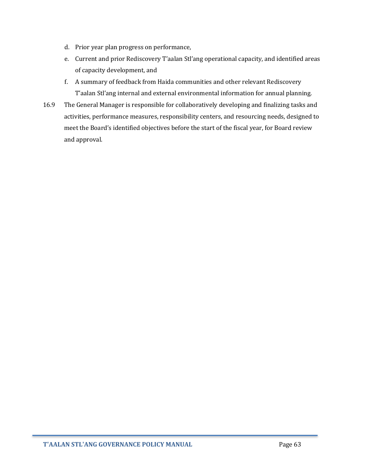- d. Prior year plan progress on performance,
- e. Current and prior Rediscovery T'aalan Stl'ang operational capacity, and identified areas of capacity development, and
- f. A summary of feedback from Haida communities and other relevant Rediscovery T'aalan Stl'ang internal and external environmental information for annual planning.
- 16.9 The General Manager is responsible for collaboratively developing and finalizing tasks and activities, performance measures, responsibility centers, and resourcing needs, designed to meet the Board's identified objectives before the start of the fiscal year, for Board review and approval.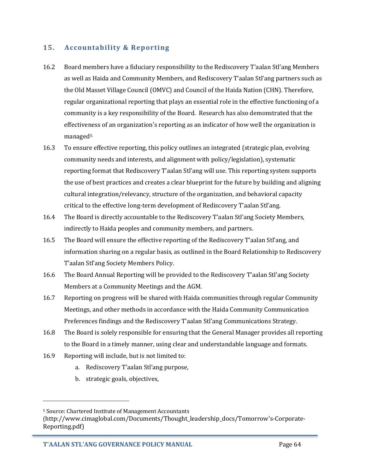## **15. Accountability & Reporting**

- 16.2 Board members have a fiduciary responsibility to the Rediscovery T'aalan Stl'ang Members as well as Haida and Community Members, and Rediscovery T'aalan Stl'ang partners such as the Old Masset Village Council (OMVC) and Council of the Haida Nation (CHN). Therefore, regular organizational reporting that plays an essential role in the effective functioning of a community is a key responsibility of the Board. Research has also demonstrated that the effectiveness of an organization's reporting as an indicator of how well the organization is managed5.
- 16.3 To ensure effective reporting, this policy outlines an integrated (strategic plan, evolving community needs and interests, and alignment with policy/legislation), systematic reporting format that Rediscovery T'aalan Stl'ang will use. This reporting system supports the use of best practices and creates a clear blueprint for the future by building and aligning cultural integration/relevancy, structure of the organization, and behavioral capacity critical to the effective long-term development of Rediscovery T'aalan Stl'ang.
- 16.4 The Board is directly accountable to the Rediscovery T'aalan Stl'ang Society Members, indirectly to Haida peoples and community members, and partners.
- 16.5 The Board will ensure the effective reporting of the Rediscovery T'aalan Stl'ang, and information sharing on a regular basis, as outlined in the Board Relationship to Rediscovery T'aalan Stl'ang Society Members Policy.
- 16.6 The Board Annual Reporting will be provided to the Rediscovery T'aalan Stl'ang Society Members at a Community Meetings and the AGM.
- 16.7 Reporting on progress will be shared with Haida communities through regular Community Meetings, and other methods in accordance with the Haida Community Communication Preferences findings and the Rediscovery T'aalan Stl'ang Communications Strategy.
- 16.8 The Board is solely responsible for ensuring that the General Manager provides all reporting to the Board in a timely manner, using clear and understandable language and formats.
- 16.9 Reporting will include, but is not limited to:
	- a. Rediscovery T'aalan Stl'ang purpose,
	- b. strategic goals, objectives,

<sup>&</sup>lt;sup>5</sup> Source: Chartered Institute of Management Accountants

<sup>(</sup>http://www.cimaglobal.com/Documents/Thought\_leadership\_docs/Tomorrow's-Corporate-Reporting.pdf)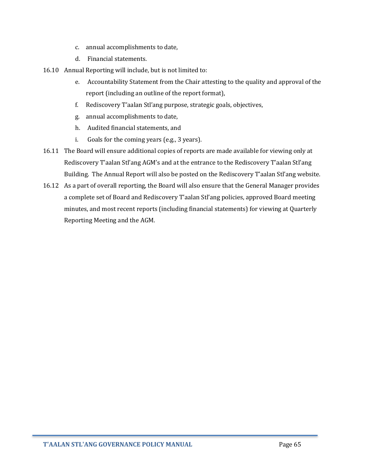- c. annual accomplishments to date,
- d. Financial statements.
- 16.10 Annual Reporting will include, but is not limited to:
	- e. Accountability Statement from the Chair attesting to the quality and approval of the report (including an outline of the report format),
	- f. Rediscovery T'aalan Stl'ang purpose, strategic goals, objectives,
	- g. annual accomplishments to date,
	- h. Audited financial statements, and
	- i. Goals for the coming years  $(e.g., 3 years)$ .
- 16.11 The Board will ensure additional copies of reports are made available for viewing only at Rediscovery T'aalan Stl'ang AGM's and at the entrance to the Rediscovery T'aalan Stl'ang Building. The Annual Report will also be posted on the Rediscovery T'aalan Stl'ang website.
- 16.12 As a part of overall reporting, the Board will also ensure that the General Manager provides a complete set of Board and Rediscovery T'aalan Stl'ang policies, approved Board meeting minutes, and most recent reports (including financial statements) for viewing at Quarterly Reporting Meeting and the AGM.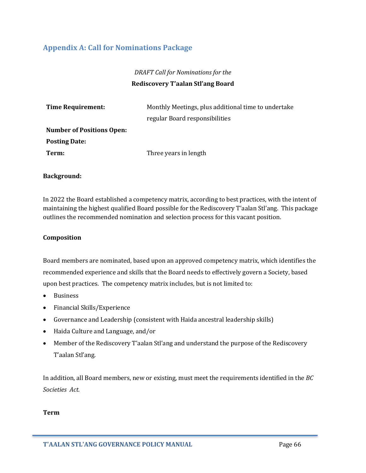## **Appendix A: Call for Nominations Package**

# **DRAFT** Call for Nominations for the **Rediscovery T'aalan Stl'ang Board**

| <b>Time Requirement:</b>         | Monthly Meetings, plus additional time to undertake |  |
|----------------------------------|-----------------------------------------------------|--|
|                                  | regular Board responsibilities                      |  |
| <b>Number of Positions Open:</b> |                                                     |  |
| <b>Posting Date:</b>             |                                                     |  |
| Term:                            | Three years in length                               |  |

### **Background:**

In 2022 the Board established a competency matrix, according to best practices, with the intent of maintaining the highest qualified Board possible for the Rediscovery T'aalan Stl'ang. This package outlines the recommended nomination and selection process for this vacant position.

### **Composition**

Board members are nominated, based upon an approved competency matrix, which identifies the recommended experience and skills that the Board needs to effectively govern a Society, based upon best practices. The competency matrix includes, but is not limited to:

- Business
- Financial Skills/Experience
- Governance and Leadership (consistent with Haida ancestral leadership skills)
- Haida Culture and Language, and/or
- Member of the Rediscovery T'aalan Stl'ang and understand the purpose of the Rediscovery T'aalan Stl'ang.

In addition, all Board members, new or existing, must meet the requirements identified in the *BC Societies Act.* 

#### **Term**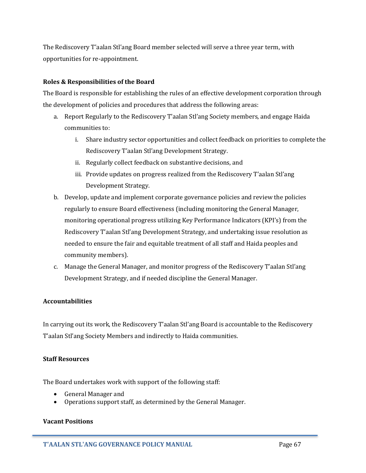The Rediscovery T'aalan Stl'ang Board member selected will serve a three year term, with opportunities for re-appointment.

## **Roles & Responsibilities of the Board**

The Board is responsible for establishing the rules of an effective development corporation through the development of policies and procedures that address the following areas:

- a. Report Regularly to the Rediscovery T'aalan Stl'ang Society members, and engage Haida communities to:
	- i. Share industry sector opportunities and collect feedback on priorities to complete the Rediscovery T'aalan Stl'ang Development Strategy.
	- ii. Regularly collect feedback on substantive decisions, and
	- iii. Provide updates on progress realized from the Rediscovery T'aalan Stl'ang Development Strategy.
- b. Develop, update and implement corporate governance policies and review the policies regularly to ensure Board effectiveness (including monitoring the General Manager, monitoring operational progress utilizing Key Performance Indicators (KPI's) from the Rediscovery T'aalan Stl'ang Development Strategy, and undertaking issue resolution as needed to ensure the fair and equitable treatment of all staff and Haida peoples and community members).
- c. Manage the General Manager, and monitor progress of the Rediscovery T'aalan Stl'ang Development Strategy, and if needed discipline the General Manager.

## **Accountabilities**

In carrying out its work, the Rediscovery T'aalan Stl'ang Board is accountable to the Rediscovery T'aalan Stl'ang Society Members and indirectly to Haida communities.

### **Staff Resources**

The Board undertakes work with support of the following staff:

- General Manager and
- Operations support staff, as determined by the General Manager.

## **Vacant Positions**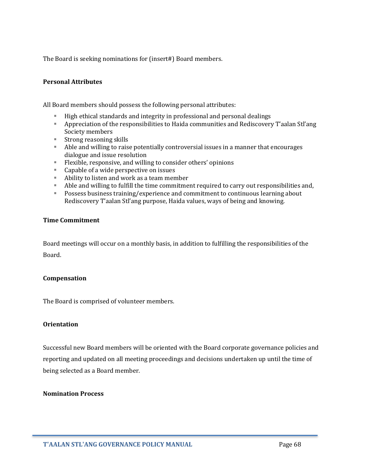The Board is seeking nominations for (insert#) Board members.

## **Personal Attributes**

All Board members should possess the following personal attributes:

- High ethical standards and integrity in professional and personal dealings
- Appreciation of the responsibilities to Haida communities and Rediscovery T'aalan Stl'ang Society members
- $\blacksquare$  Strong reasoning skills
- **EXECT** Able and willing to raise potentially controversial issues in a manner that encourages dialogue and issue resolution
- Flexible, responsive, and willing to consider others' opinions
- Capable of a wide perspective on issues
- Ability to listen and work as a team member
- **EXECT** Able and willing to fulfill the time commitment required to carry out responsibilities and,
- Possess business training/experience and commitment to continuous learning about Rediscovery T'aalan Stl'ang purpose, Haida values, ways of being and knowing.

## **Time Commitment**

Board meetings will occur on a monthly basis, in addition to fulfilling the responsibilities of the Board.

### **Compensation**

The Board is comprised of volunteer members.

### **Orientation**

Successful new Board members will be oriented with the Board corporate governance policies and reporting and updated on all meeting proceedings and decisions undertaken up until the time of being selected as a Board member.

### **Nomination Process**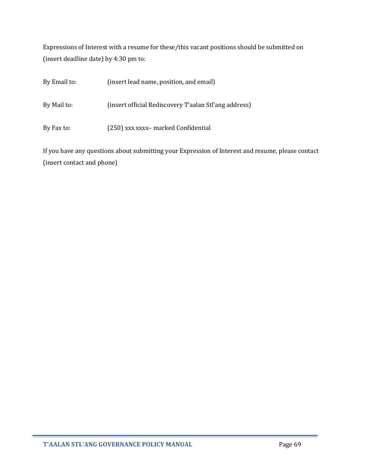Expressions of Interest with a resume for these/this vacant positions should be submitted on (insert deadline date) by 4:30 pm to:

| By Email to: | (insert lead name, position, and email)               |
|--------------|-------------------------------------------------------|
| By Mail to:  | (insert official Rediscovery T'aalan Stl'ang address) |
| By Fax to:   | (250) xxx xxxx- marked Confidential                   |

If you have any questions about submitting your Expression of Interest and resume, please contact (insert contact and phone)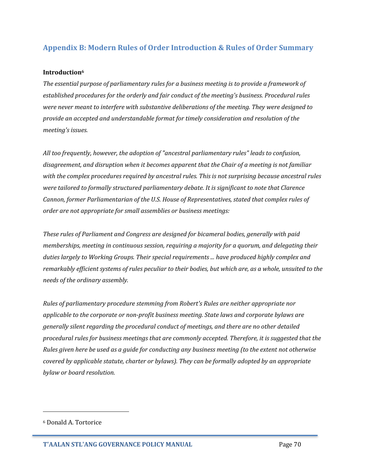# **Appendix B: Modern Rules of Order Introduction & Rules of Order Summary**

## **Introduction6**

The essential purpose of parliamentary rules for a business meeting is to provide a framework of established procedures for the orderly and fair conduct of the meeting's business. Procedural rules were never meant to interfere with substantive deliberations of the meeting. They were designed to *provide* an accepted and understandable format for timely consideration and resolution of the *meeting's issues.*

All too frequently, however, the adoption of "ancestral parliamentary rules" leads to confusion, disagreement, and disruption when it becomes apparent that the Chair of a meeting is not familiar with the complex procedures required by ancestral rules. This is not surprising because ancestral rules were tailored to formally structured parliamentary debate. It is significant to note that Clarence *Cannon, former Parliamentarian of the U.S. House of Representatives, stated that complex rules of order are not appropriate for small assemblies or business meetings:* 

These rules of Parliament and Congress are designed for bicameral bodies, generally with paid *memberships, meeting in continuous session, requiring a majority for a quorum, and delegating their* duties *largely* to Working Groups. Their special requirements ... have produced highly complex and *remarkably efficient systems of rules peculiar to their bodies, but which are, as a whole, unsuited to the needs of the ordinary assembly.* 

*Rules of parliamentary procedure stemming from Robert's Rules are neither appropriate nor* applicable to the corporate or non-profit business meeting. State laws and corporate bylaws are *generally silent regarding the procedural conduct of meetings, and there are no other detailed* procedural rules for business meetings that are commonly accepted. Therefore, it is suggested that the *Rules given here be used as a guide for conducting any business meeting (to the extent not otherwise covered by applicable statute, charter or bylaws). They can be formally adopted by an appropriate bylaw or board resolution.*

<sup>6</sup> Donald A. Tortorice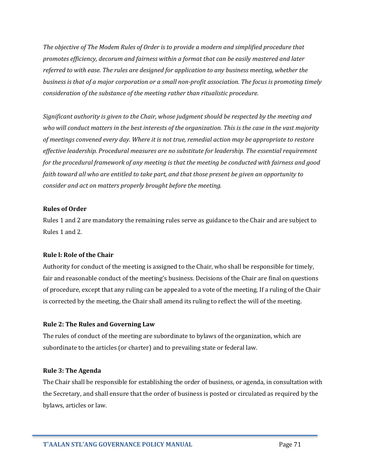The objective of The Modem Rules of Order is to provide a modern and simplified procedure that *promotes efficiency, decorum and fairness within a format that can be easily mastered and later referred* to with ease. The rules are designed for application to any business meeting, whether the *business is that of a major corporation or a small non-profit association. The focus is promoting timely consideration of the substance of the meeting rather than ritualistic procedure.* 

*Significant authority is given to the Chair, whose judgment should be respected by the meeting and* who will conduct matters in the best interests of the organization. This is the case in the vast majority of meetings convened every day. Where it is not true, remedial action may be appropriate to restore *effective leadership. Procedural measures are no substitute for leadership. The essential requirement for* the procedural framework of any meeting is that the meeting be conducted with fairness and good *faith toward all who are entitled to take part, and that those present be given an opportunity to consider and act on matters properly brought before the meeting.* 

## **Rules of Order**

Rules 1 and 2 are mandatory the remaining rules serve as guidance to the Chair and are subject to Rules 1 and 2.

## **Rule I: Role of the Chair**

Authority for conduct of the meeting is assigned to the Chair, who shall be responsible for timely, fair and reasonable conduct of the meeting's business. Decisions of the Chair are final on questions of procedure, except that any ruling can be appealed to a vote of the meeting. If a ruling of the Chair is corrected by the meeting, the Chair shall amend its ruling to reflect the will of the meeting.

## **Rule 2: The Rules and Governing Law**

The rules of conduct of the meeting are subordinate to bylaws of the organization, which are subordinate to the articles (or charter) and to prevailing state or federal law.

### **Rule 3: The Agenda**

The Chair shall be responsible for establishing the order of business, or agenda, in consultation with the Secretary, and shall ensure that the order of business is posted or circulated as required by the bylaws, articles or law.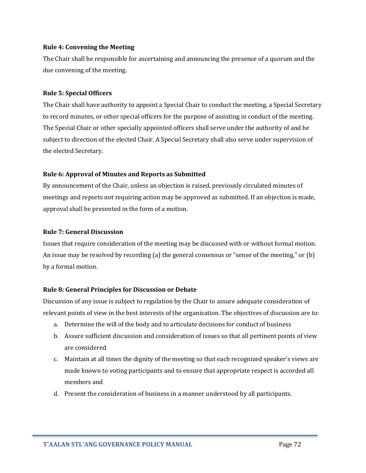### **Rule 4: Convening the Meeting**

The Chair shall be responsible for ascertaining and announcing the presence of a quorum and the due convening of the meeting.

#### **Rule 5: Special Officers**

The Chair shall have authority to appoint a Special Chair to conduct the meeting, a Special Secretary to record minutes, or other special officers for the purpose of assisting in conduct of the meeting. The Special Chair or other specially appointed officers shall serve under the authority of and be subject to direction of the elected Chair. A Special Secretary shall also serve under supervision of the elected Secretary.

### Rule 6: Approval of Minutes and Reports as Submitted

By announcement of the Chair, unless an objection is raised, previously circulated minutes of meetings and reports not requiring action may be approved as submitted. If an objection is made, approval shall be presented in the form of a motion.

### **Rule 7: General Discussion**

Issues that require consideration of the meeting may be discussed with or without formal motion. An issue may be resolved by recording  $(a)$  the general consensus or "sense of the meeting," or  $(b)$ by a formal motion.

### **Rule 8: General Principles for Discussion or Debate**

Discussion of any issue is subject to regulation by the Chair to assure adequate consideration of relevant points of view in the best interests of the organization. The objectives of discussion are to:

- a. Determine the will of the body and to articulate decisions for conduct of business
- b. Assure sufficient discussion and consideration of issues so that all pertinent points of view are considered
- c. Maintain at all times the dignity of the meeting so that each recognized speaker's views are made known to voting participants and to ensure that appropriate respect is accorded all members and
- d. Present the consideration of business in a manner understood by all participants.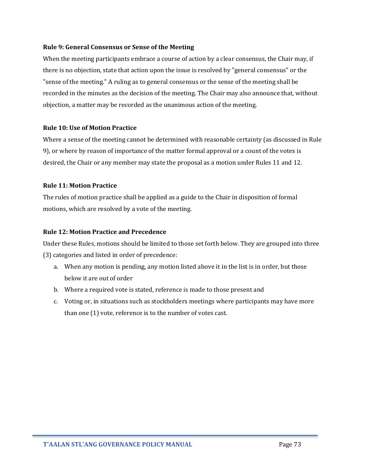#### **Rule 9: General Consensus or Sense of the Meeting**

When the meeting participants embrace a course of action by a clear consensus, the Chair may, if there is no objection, state that action upon the issue is resolved by "general consensus" or the "sense of the meeting." A ruling as to general consensus or the sense of the meeting shall be recorded in the minutes as the decision of the meeting. The Chair may also announce that, without objection, a matter may be recorded as the unanimous action of the meeting.

### **Rule 10: Use of Motion Practice**

Where a sense of the meeting cannot be determined with reasonable certainty (as discussed in Rule 9), or where by reason of importance of the matter formal approval or a count of the votes is desired, the Chair or any member may state the proposal as a motion under Rules 11 and 12.

### **Rule 11: Motion Practice**

The rules of motion practice shall be applied as a guide to the Chair in disposition of formal motions, which are resolved by a vote of the meeting.

### **Rule 12: Motion Practice and Precedence**

Under these Rules, motions should be limited to those set forth below. They are grouped into three (3) categories and listed in order of precedence:

- a. When any motion is pending, any motion listed above it in the list is in order, but those below it are out of order
- b. Where a required vote is stated, reference is made to those present and
- c. Voting or, in situations such as stockholders meetings where participants may have more than one  $(1)$  vote, reference is to the number of votes cast.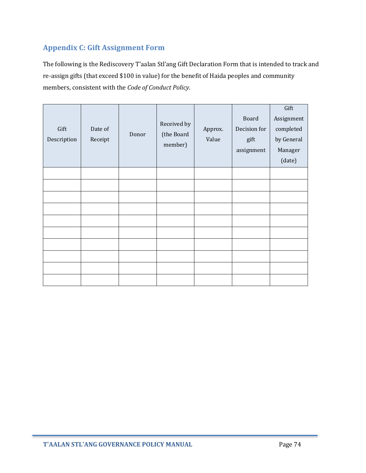# **Appendix C: Gift Assignment Form**

The following is the Rediscovery T'aalan Stl'ang Gift Declaration Form that is intended to track and re-assign gifts (that exceed \$100 in value) for the benefit of Haida peoples and community members, consistent with the *Code of Conduct Policy*.

| Gift<br>Description | Date of<br>Receipt | Donor | Received by<br>(the Board<br>member) | Approx.<br>Value | Board<br>Decision for<br>gift<br>assignment | Gift<br>Assignment<br>completed<br>by General<br>Manager<br>(date) |
|---------------------|--------------------|-------|--------------------------------------|------------------|---------------------------------------------|--------------------------------------------------------------------|
|                     |                    |       |                                      |                  |                                             |                                                                    |
|                     |                    |       |                                      |                  |                                             |                                                                    |
|                     |                    |       |                                      |                  |                                             |                                                                    |
|                     |                    |       |                                      |                  |                                             |                                                                    |
|                     |                    |       |                                      |                  |                                             |                                                                    |
|                     |                    |       |                                      |                  |                                             |                                                                    |
|                     |                    |       |                                      |                  |                                             |                                                                    |
|                     |                    |       |                                      |                  |                                             |                                                                    |
|                     |                    |       |                                      |                  |                                             |                                                                    |
|                     |                    |       |                                      |                  |                                             |                                                                    |